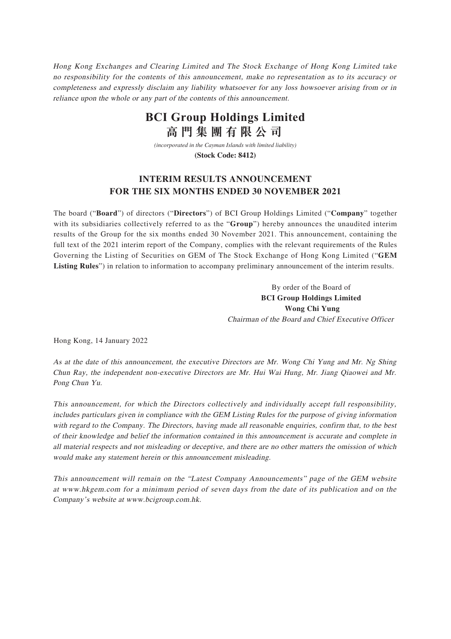Hong Kong Exchanges and Clearing Limited and The Stock Exchange of Hong Kong Limited take no responsibility for the contents of this announcement, make no representation as to its accuracy or completeness and expressly disclaim any liability whatsoever for any loss howsoever arising from or in reliance upon the whole or any part of the contents of this announcement.

## **BCI Group Holdings Limited 高門集團有限公司**

*(incorporated in the Cayman Islands with limited liability)* **(Stock Code: 8412)**

#### **INTERIM RESULTS ANNOUNCEMENT FOR THE SIX MONTHS ENDED 30 NOVEMBER 2021**

The board ("**Board**") of directors ("**Directors**") of BCI Group Holdings Limited ("**Company**" together with its subsidiaries collectively referred to as the "**Group**") hereby announces the unaudited interim results of the Group for the six months ended 30 November 2021. This announcement, containing the full text of the 2021 interim report of the Company, complies with the relevant requirements of the Rules Governing the Listing of Securities on GEM of The Stock Exchange of Hong Kong Limited ("**GEM Listing Rules**") in relation to information to accompany preliminary announcement of the interim results.

> By order of the Board of **BCI Group Holdings Limited Wong Chi Yung** Chairman of the Board and Chief Executive Officer

Hong Kong, 14 January 2022

As at the date of this announcement, the executive Directors are Mr. Wong Chi Yung and Mr. Ng Shing Chun Ray, the independent non-executive Directors are Mr. Hui Wai Hung, Mr. Jiang Qiaowei and Mr. Pong Chun Yu.

This announcement, for which the Directors collectively and individually accept full responsibility, includes particulars given in compliance with the GEM Listing Rules for the purpose of giving information with regard to the Company. The Directors, having made all reasonable enquiries, confirm that, to the best of their knowledge and belief the information contained in this announcement is accurate and complete in all material respects and not misleading or deceptive, and there are no other matters the omission of which would make any statement herein or this announcement misleading.

This announcement will remain on the "Latest Company Announcements" page of the GEM website at www.hkgem.com for a minimum period of seven days from the date of its publication and on the Company's website at www.bcigroup.com.hk.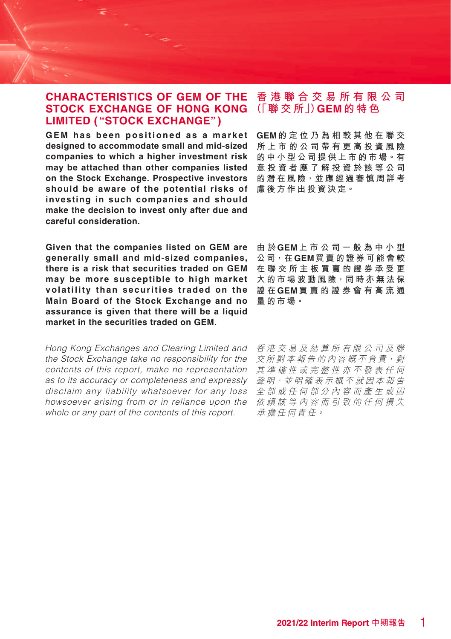#### **CHARACTERISTICS OF GEM OF THE STOCK EXCHANGE OF HONG KONG LIMITED ("STOCK EXCHANGE")**

**GEM has been positioned as a market designed to accommodate small and mid-sized companies to which a higher investment risk may be attached than other companies listed on the Stock Exchange. Prospective investors should be aware of the potential risks of 慮後方作出投資決定。 investing in such companies and should make the decision to invest only after due and careful consideration.**

**Given that the companies listed on GEM are generally small and mid-sized companies, there is a risk that securities traded on GEM may be more susceptible to high market volatility than securities traded on the Main Board of the Stock Exchange and no assurance is given that there will be a liquid market in the securities traded on GEM.**

Hong Kong Exchanges and Clearing Limited and the Stock Exchange take no responsibility for the contents of this report, make no representation as to its accuracy or completeness and expressly disclaim any liability whatsoever for any loss howsoever arising from or in reliance upon the whole or any part of the contents of this report.

### **香港聯合交易所有限公司 (「聯 交 所」)GEM的特色**

**GEM的定位乃為相較其他在聯交 所上市的公司帶有更高投資風險 的中小型公司提供上市的市場。有 意投資者應了解投資於該等公司 的潛在風險,並應經過審慎周詳考**

**由 於GEM上市公司一般為中小型 公司,在GEM買賣的證券可能會較 在聯交所主板買賣的證券承受更 大的市場波動風險,同時亦無法保 證 在GEM買賣的證券會有高流通 量的市場。**

香港交易及結算所有限公司及聯 交所對本報告的內容概不負責,對 其準確性或完整性亦不發表任何 聲明,並明確表示概不就因本報告 全部或任何部分內容而產生或因 依賴該等內容而引致的任何損失 承擔任何責任。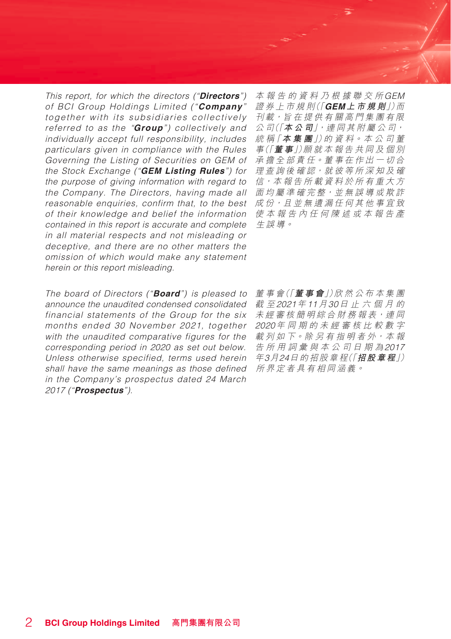This report, for which the directors ("**Directors**") of BCI Group Holdings Limited ("**Company**" together with its subsidiaries collectively referred to as the "**Group**") collectively and individually accept full responsibility, includes particulars given in compliance with the Rules Governing the Listing of Securities on GEM of the Stock Exchange ("**GEM Listing Rules**") for the purpose of giving information with regard to the Company. The Directors, having made all reasonable enquiries, confirm that, to the best of their knowledge and belief the information contained in this report is accurate and complete in all material respects and not misleading or deceptive, and there are no other matters the omission of which would make any statement herein or this report misleading.

The board of Directors ("**Board**") is pleased to announce the unaudited condensed consolidated financial statements of the Group for the six months ended 30 November 2021, together with the unaudited comparative figures for the corresponding period in 2020 as set out below. Unless otherwise specified, terms used herein shall have the same meanings as those defined in the Company's prospectus dated 24 March 2017 ("**Prospectus**").

本報告的資料乃根據聯交所GEM 證 券 上 市 規 則(「**GEM上市規則**」)而 刊載,旨在提供有關高門集團有限 公 司(「**本公司**」,連 同 其 附 屬 公 司, 統 稱「**本集團**」)的 資 料。本 公 司 董 事(「**董 事**」)願 就 本 報 告 共 同 及 個 別 承擔全部責任。董事在作出一切合 理查詢後確認,就彼等所深知及確 信,本報告所載資料於所有重大方 面均屬準確完整,並無誤導或欺詐 成份,且並無遺漏任何其他事宜致 使本報告內任何陳述或本報告產 生誤導。

董 事 會(「**董事會**」)欣 然 公 布 本集團 截 至2021年11月30日止六個月的 未經審核簡明綜合財務報表,連同 2020年同期的未經審核比較數字 載 列 如 下。除 另 有 指 明 者 外, 本 報 告所用詞彙與本公司日期為2017 年3月24日的招股章程(「**招股章程**」) 所界定者具有相同涵義。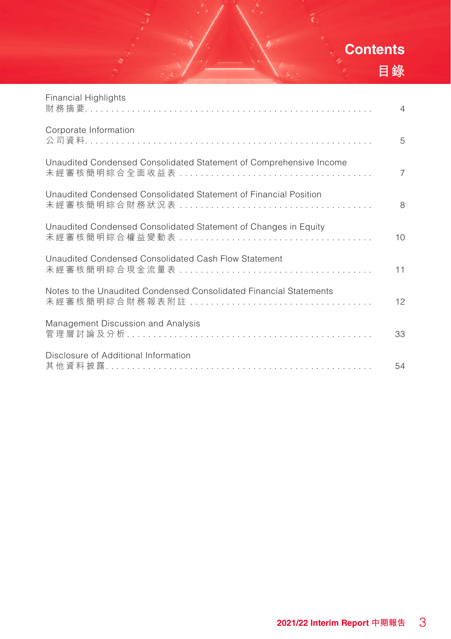# **Contents 目錄**

| Financial Highlights                                               | $\overline{4}$ |
|--------------------------------------------------------------------|----------------|
| Corporate Information                                              | 5              |
| Unaudited Condensed Consolidated Statement of Comprehensive Income | $\overline{7}$ |
| Unaudited Condensed Consolidated Statement of Financial Position   | 8              |
| Unaudited Condensed Consolidated Statement of Changes in Equity    | 10             |
| Unaudited Condensed Consolidated Cash Flow Statement               | 11             |
| Notes to the Unaudited Condensed Consolidated Financial Statements | 12             |
| Management Discussion and Analysis                                 | 33             |
| Disclosure of Additional Information                               | 54             |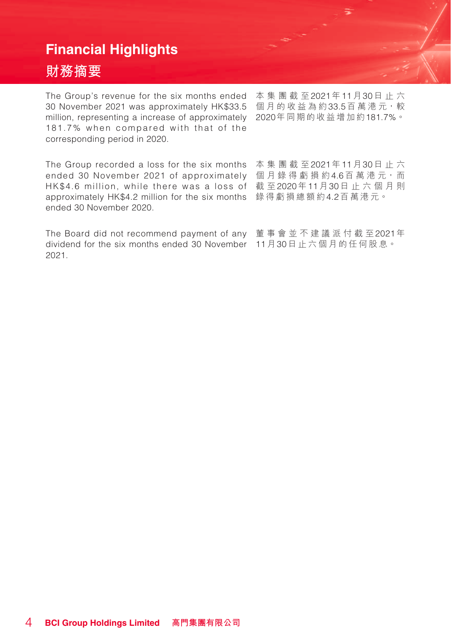## **Financial Highlights**

## **財務摘要**

The Group's revenue for the six months ended 30 November 2021 was approximately HK\$33.5 million, representing a increase of approximately 2020年同期的收益增加約181.7%。 181.7% when compared with that of the corresponding period in 2020.

The Group recorded a loss for the six months 本集團截至2021年11月30日止六 ended 30 November 2021 of approximately 個月錄得虧損約4.6百萬港元<sup>,</sup>而 HK\$4.6 million, while there was a loss of 截 至2020年11月30日止六個月則 approximately HK\$4.2 million for the six months 錄得虧損 總 額 約4.2百萬港元。 ended 30 November 2020.

The Board did not recommend payment of any 董事會並不建議派付截至2021年 dividend for the six months ended 30 November 11月30日止六個月的任何股息。2021.

本集團截至2021年11月30日止六 個月的收益為約33.5百萬港元,較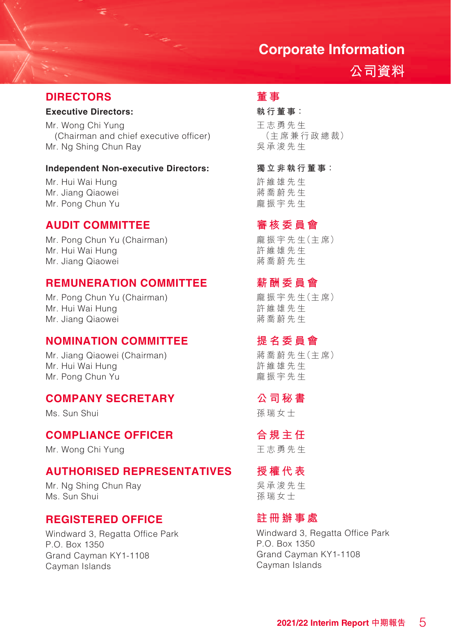## **Corporate Information**

## **公司資料**

#### **DIRECTORS**

#### **Executive Directors:**

Mr. Wong Chi Yung (Chairman and chief executive officer) Mr. Ng Shing Chun Ray

#### **Independent Non-executive Directors:**

Mr. Hui Wai Hung Mr. Jiang Qiaowei Mr. Pong Chun Yu

#### **AUDIT COMMITTEE**

Mr. Pong Chun Yu (Chairman) Mr. Hui Wai Hung Mr. Jiang Qiaowei

#### **REMUNERATION COMMITTEE**

Mr. Pong Chun Yu (Chairman) Mr. Hui Wai Hung Mr. Jiang Qiaowei

#### **NOMINATION COMMITTEE**

Mr. Jiang Qiaowei (Chairman) Mr. Hui Wai Hung Mr. Pong Chun Yu

### **COMPANY SECRETARY**

Ms. Sun Shui

#### **COMPLIANCE OFFICER**

Mr. Wong Chi Yung

#### **AUTHORISED REPRESENTATIVES**

Mr. Ng Shing Chun Ray Ms. Sun Shui

#### **REGISTERED OFFICE**

Windward 3, Regatta Office Park P.O. Box 1350 Grand Cayman KY1-1108 Cayman Islands

## **董 事**

#### **執行董事:**

王志勇先生 (主席兼行政總 裁) 吳承浚先 生

**獨立非執行董事:**

許維雄先生 蔣喬蔚先生 龐振宇先生

#### **審核委員會**

龐 振 宇 先 生(主 席) 許維雄先生 蔣喬蔚先生

#### **薪酬委員會**

龐 振 宇 先 生(主 席) 許維雄先生 蔣喬蔚先生

### **提名委員會**

蔣 喬 蔚 先 生(主 席) 許維雄先生 龐振宇先生

#### **公司秘書**

孫瑞女士

#### **合規主任**

王志勇先 生

## **授權代表**

吳承浚先生 孫瑞女士

#### **註冊辦事處**

Windward 3, Regatta Office Park P.O. Box 1350 Grand Cayman KY1-1108 Cayman Islands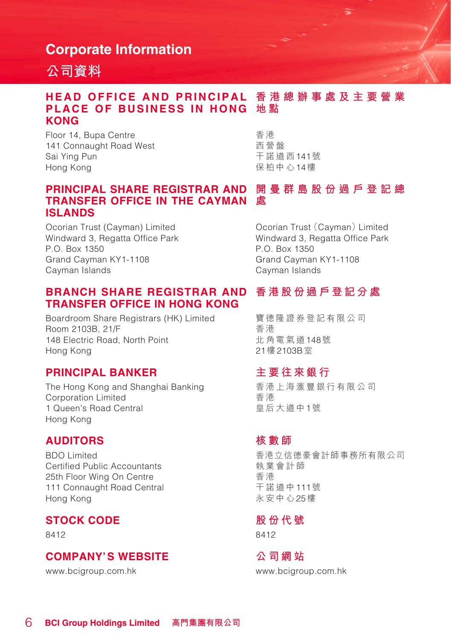## **Corporate Information**

## **公司資料**

#### **HEAD OFFICE AND PRINCIPAL 香港總辦事處及主要營業** PLACE OF BUSINESS IN HONG 地點 **KONG**

Floor 14, Bupa Centre 141 Connaught Road West Sai Ying Pun Hong Kong

香 港 西營盤 干諾道西141號 保柏中心14樓

#### **開曼群島股份過戶登記總 處 TRANSFER OFFICE IN THE CAYMAN PRINCIPAL SHARE REGISTRAR AND ISLANDS**

Ocorian Trust (Cayman) Limited Windward 3, Regatta Office Park P.O. Box 1350 Grand Cayman KY1-1108 Cayman Islands

#### **BRANCH SHARE REGISTRAR AND TRANSFER OFFICE IN HONG KONG**

Boardroom Share Registrars (HK) Limited Room 2103B, 21/F 148 Electric Road, North Point Hong Kong

#### **PRINCIPAL BANKER**

The Hong Kong and Shanghai Banking Corporation Limited 1 Queen's Road Central Hong Kong

#### **AUDITORS**

BDO Limited Certified Public Accountants 25th Floor Wing On Centre 111 Connaught Road Central Hong Kong

## **STOCK CODE**

8412

#### **COMPANY'S WEBSITE**

www.bcigroup.com.hk

Ocorian Trust (Cayman) Limited Windward 3, Regatta Office Park P.O. Box 1350 Grand Cayman KY1-1108 Cayman Islands

### **香港股份過戶登記分處**

寶德隆證券登記有限公司 香 港 北角電氣道148號 21樓2103B室

#### **主要往來銀行**

香港上海滙豐銀行有限公司 香 港 皇后大道中1號

#### **核數師**

香港立信德豪會計師事務所有限公司 執業會計師 香 港 干諾道中111號 永安中心25樓

#### **股份代號**

8412

#### **公司網站**

www.bcigroup.com.hk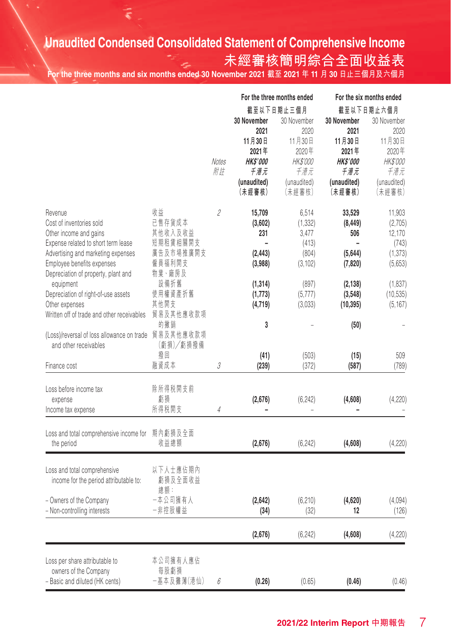# **Unaudited Condensed Consolidated Statement of Comprehensive Income**

Ε

## **未經審核簡明綜合全面收益表**

**For the three months and six months ended 30 November 2021 截至 2021 年 11 月 30 日止三個月及六個月**

|                                                                               |                       |            | For the three months ended |                       | For the six months ended |                       |  |
|-------------------------------------------------------------------------------|-----------------------|------------|----------------------------|-----------------------|--------------------------|-----------------------|--|
|                                                                               |                       |            |                            | 截至以下日期止三個月            |                          | 截至以下日期止六個月            |  |
|                                                                               |                       |            | 30 November<br>2021        | 30 November<br>2020   | 30 November<br>2021      | 30 November<br>2020   |  |
|                                                                               |                       |            | 11月30日                     | 11月30日                | 11月30日                   | 11月30日                |  |
|                                                                               |                       |            | 2021年                      | 2020年                 | 2021年                    | 2020年                 |  |
|                                                                               |                       | Notes      | HK\$'000                   | <b>HK\$'000</b>       | <b>HK\$'000</b>          | HK\$'000              |  |
|                                                                               |                       | 附註         | 千港元                        | 千港元                   | 千港元                      | 千港元                   |  |
|                                                                               |                       |            | (unaudited)<br>(未經審核)      | (unaudited)<br>(未經審核) | (unaudited)<br>(未經審核)    | (unaudited)<br>(未經審核) |  |
| Revenue                                                                       | 收益                    | 2          | 15,709                     | 6,514                 | 33,529                   | 11,903                |  |
| Cost of inventories sold                                                      | 已售存貨成本                |            | (3,602)                    | (1, 332)              | (8, 449)                 | (2,705)               |  |
| Other income and gains                                                        | 其他收入及收益               |            | 231                        | 3,477                 | 506                      | 12,170                |  |
| Expense related to short term lease<br>Advertising and marketing expenses     | 短期租賃相關開支<br>廣告及市場推廣開支 |            | (2, 443)                   | (413)<br>(804)        | (5, 644)                 | (743)<br>(1, 373)     |  |
| Employee benefits expenses                                                    | 僱員福利開支                |            | (3,988)                    | (3, 102)              | (7,820)                  | (5,653)               |  |
| Depreciation of property, plant and                                           | 物業、廠房及                |            |                            |                       |                          |                       |  |
| equipment                                                                     | 設備折舊                  |            | (1, 314)                   | (897)                 | (2, 138)                 | (1,837)               |  |
| Depreciation of right-of-use assets                                           | 使用權資產折舊               |            | (1, 773)                   | (5, 777)              | (3,548)                  | (10, 535)             |  |
| Other expenses                                                                | 其他開支                  |            | (4,719)                    | (3,033)               | (10, 395)                | (5, 167)              |  |
| Written off of trade and other receivables                                    | 貿易及其他應收款項             |            |                            |                       |                          |                       |  |
| (Loss)/reversal of loss allowance on trade 貿易及其他應收款項<br>and other receivables | 的撇销<br>(虧損)/虧損撥備      |            | 3                          |                       | (50)                     |                       |  |
|                                                                               | 撥回                    |            | (41)                       | (503)                 | (15)                     | 509                   |  |
| Finance cost                                                                  | 融資成本                  | 3          | (239)                      | (372)                 | (587)                    | (789)                 |  |
| Loss before income tax                                                        | 除所得税開支前               |            |                            |                       |                          |                       |  |
| expense                                                                       | 虧損                    |            | (2,676)                    | (6, 242)              | (4,608)                  | (4, 220)              |  |
| Income tax expense                                                            | 所得税開支                 | $\sqrt{4}$ |                            |                       |                          |                       |  |
| Loss and total comprehensive income for                                       | 期內虧損及全面               |            |                            |                       |                          |                       |  |
| the period                                                                    | 收益總額                  |            | (2,676)                    | (6, 242)              | (4,608)                  | (4,220)               |  |
| Loss and total comprehensive                                                  | 以下人士應佔期內              |            |                            |                       |                          |                       |  |
| income for the period attributable to:                                        | 虧損及全面收益<br>總額:        |            |                            |                       |                          |                       |  |
| - Owners of the Company                                                       | 一本公司擁有人               |            | (2,642)                    | (6, 210)              | (4,620)                  | (4,094)               |  |
| - Non-controlling interests                                                   | 一非控股權益                |            | (34)                       | (32)                  | 12                       | (126)                 |  |
|                                                                               |                       |            |                            |                       |                          |                       |  |
|                                                                               |                       |            | (2,676)                    | (6, 242)              | (4,608)                  | (4,220)               |  |
| Loss per share attributable to                                                | 本公司擁有人應佔              |            |                            |                       |                          |                       |  |
| owners of the Company                                                         | 每股虧損                  |            |                            |                       |                          |                       |  |
| - Basic and diluted (HK cents)                                                | 一基本及攤薄(港仙)            | 6          | (0.26)                     | (0.65)                | (0.46)                   | (0.46)                |  |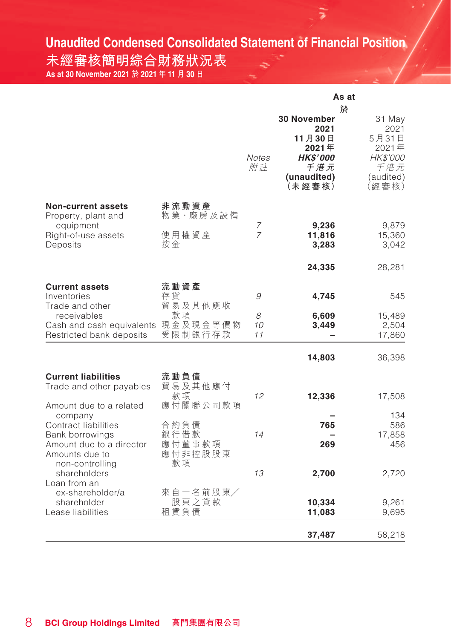# **Unaudited Condensed Consolidated Statement of Financial Position**

E

**未經審核簡明綜合財務狀況表 As at 30 November 2021 於 2021 年 11 月 30 日**

| 於<br><b>30 November</b><br>31 May<br>2021<br>2021<br>11月30日<br>5月31日<br>2021年<br>2021年<br><b>HK\$'000</b><br><b>Notes</b><br>HK\$'000<br>千港元<br>附註<br>千港元<br>(unaudited)<br>(audited)<br>(未經審核)<br>(經審核)<br>非流動資產<br><b>Non-current assets</b><br>物業、廠房及設備<br>Property, plant and<br>equipment<br>9,236<br>9,879<br>7<br>$\overline{7}$<br>使用權資產<br>Right-of-use assets<br>11,816<br>15,360<br>按金<br>Deposits<br>3,042<br>3,283<br>24,335<br>28,281<br>流動資產<br><b>Current assets</b><br>存貨<br>9<br>545<br>Inventories<br>4,745<br>貿易及其他應收<br>Trade and other<br>款項<br>8<br>receivables<br>15,489<br>6,609<br>Cash and cash equivalents 現金及現金等價物<br>10<br>2,504<br>3,449<br>受限制銀行存款<br>Restricted bank deposits<br>11<br>17,860<br>14,803<br>36,398<br><b>Current liabilities</b><br>流動負債<br>貿易及其他應付<br>Trade and other payables<br>款項<br>12<br>12,336<br>17,508<br>應付關聯公司款項<br>Amount due to a related<br>134<br>company<br>Contract liabilities<br>合 約 負 債<br>765<br>586<br>銀行借款<br>14<br>17,858<br>Bank borrowings<br>應付董事款項<br>Amount due to a director<br>269<br>456<br>應付非控股股東<br>Amounts due to<br>款項<br>non-controlling<br>13<br>shareholders<br>2,700<br>2,720<br>Loan from an<br>來自一名前股東/<br>ex-shareholder/a<br>股東之貸款<br>10,334<br>shareholder<br>9,261<br>租賃負債<br>Lease liabilities<br>11,083<br>9,695<br>37,487<br>58,218 |  | As at |  |  |
|---------------------------------------------------------------------------------------------------------------------------------------------------------------------------------------------------------------------------------------------------------------------------------------------------------------------------------------------------------------------------------------------------------------------------------------------------------------------------------------------------------------------------------------------------------------------------------------------------------------------------------------------------------------------------------------------------------------------------------------------------------------------------------------------------------------------------------------------------------------------------------------------------------------------------------------------------------------------------------------------------------------------------------------------------------------------------------------------------------------------------------------------------------------------------------------------------------------------------------------------------------------------------------------------------------------------------------------|--|-------|--|--|
|                                                                                                                                                                                                                                                                                                                                                                                                                                                                                                                                                                                                                                                                                                                                                                                                                                                                                                                                                                                                                                                                                                                                                                                                                                                                                                                                       |  |       |  |  |
|                                                                                                                                                                                                                                                                                                                                                                                                                                                                                                                                                                                                                                                                                                                                                                                                                                                                                                                                                                                                                                                                                                                                                                                                                                                                                                                                       |  |       |  |  |
|                                                                                                                                                                                                                                                                                                                                                                                                                                                                                                                                                                                                                                                                                                                                                                                                                                                                                                                                                                                                                                                                                                                                                                                                                                                                                                                                       |  |       |  |  |
|                                                                                                                                                                                                                                                                                                                                                                                                                                                                                                                                                                                                                                                                                                                                                                                                                                                                                                                                                                                                                                                                                                                                                                                                                                                                                                                                       |  |       |  |  |
|                                                                                                                                                                                                                                                                                                                                                                                                                                                                                                                                                                                                                                                                                                                                                                                                                                                                                                                                                                                                                                                                                                                                                                                                                                                                                                                                       |  |       |  |  |
|                                                                                                                                                                                                                                                                                                                                                                                                                                                                                                                                                                                                                                                                                                                                                                                                                                                                                                                                                                                                                                                                                                                                                                                                                                                                                                                                       |  |       |  |  |
|                                                                                                                                                                                                                                                                                                                                                                                                                                                                                                                                                                                                                                                                                                                                                                                                                                                                                                                                                                                                                                                                                                                                                                                                                                                                                                                                       |  |       |  |  |
|                                                                                                                                                                                                                                                                                                                                                                                                                                                                                                                                                                                                                                                                                                                                                                                                                                                                                                                                                                                                                                                                                                                                                                                                                                                                                                                                       |  |       |  |  |
|                                                                                                                                                                                                                                                                                                                                                                                                                                                                                                                                                                                                                                                                                                                                                                                                                                                                                                                                                                                                                                                                                                                                                                                                                                                                                                                                       |  |       |  |  |
|                                                                                                                                                                                                                                                                                                                                                                                                                                                                                                                                                                                                                                                                                                                                                                                                                                                                                                                                                                                                                                                                                                                                                                                                                                                                                                                                       |  |       |  |  |
|                                                                                                                                                                                                                                                                                                                                                                                                                                                                                                                                                                                                                                                                                                                                                                                                                                                                                                                                                                                                                                                                                                                                                                                                                                                                                                                                       |  |       |  |  |
|                                                                                                                                                                                                                                                                                                                                                                                                                                                                                                                                                                                                                                                                                                                                                                                                                                                                                                                                                                                                                                                                                                                                                                                                                                                                                                                                       |  |       |  |  |
|                                                                                                                                                                                                                                                                                                                                                                                                                                                                                                                                                                                                                                                                                                                                                                                                                                                                                                                                                                                                                                                                                                                                                                                                                                                                                                                                       |  |       |  |  |
|                                                                                                                                                                                                                                                                                                                                                                                                                                                                                                                                                                                                                                                                                                                                                                                                                                                                                                                                                                                                                                                                                                                                                                                                                                                                                                                                       |  |       |  |  |
|                                                                                                                                                                                                                                                                                                                                                                                                                                                                                                                                                                                                                                                                                                                                                                                                                                                                                                                                                                                                                                                                                                                                                                                                                                                                                                                                       |  |       |  |  |
|                                                                                                                                                                                                                                                                                                                                                                                                                                                                                                                                                                                                                                                                                                                                                                                                                                                                                                                                                                                                                                                                                                                                                                                                                                                                                                                                       |  |       |  |  |
|                                                                                                                                                                                                                                                                                                                                                                                                                                                                                                                                                                                                                                                                                                                                                                                                                                                                                                                                                                                                                                                                                                                                                                                                                                                                                                                                       |  |       |  |  |
|                                                                                                                                                                                                                                                                                                                                                                                                                                                                                                                                                                                                                                                                                                                                                                                                                                                                                                                                                                                                                                                                                                                                                                                                                                                                                                                                       |  |       |  |  |
|                                                                                                                                                                                                                                                                                                                                                                                                                                                                                                                                                                                                                                                                                                                                                                                                                                                                                                                                                                                                                                                                                                                                                                                                                                                                                                                                       |  |       |  |  |
|                                                                                                                                                                                                                                                                                                                                                                                                                                                                                                                                                                                                                                                                                                                                                                                                                                                                                                                                                                                                                                                                                                                                                                                                                                                                                                                                       |  |       |  |  |
|                                                                                                                                                                                                                                                                                                                                                                                                                                                                                                                                                                                                                                                                                                                                                                                                                                                                                                                                                                                                                                                                                                                                                                                                                                                                                                                                       |  |       |  |  |
|                                                                                                                                                                                                                                                                                                                                                                                                                                                                                                                                                                                                                                                                                                                                                                                                                                                                                                                                                                                                                                                                                                                                                                                                                                                                                                                                       |  |       |  |  |
|                                                                                                                                                                                                                                                                                                                                                                                                                                                                                                                                                                                                                                                                                                                                                                                                                                                                                                                                                                                                                                                                                                                                                                                                                                                                                                                                       |  |       |  |  |
|                                                                                                                                                                                                                                                                                                                                                                                                                                                                                                                                                                                                                                                                                                                                                                                                                                                                                                                                                                                                                                                                                                                                                                                                                                                                                                                                       |  |       |  |  |
|                                                                                                                                                                                                                                                                                                                                                                                                                                                                                                                                                                                                                                                                                                                                                                                                                                                                                                                                                                                                                                                                                                                                                                                                                                                                                                                                       |  |       |  |  |
|                                                                                                                                                                                                                                                                                                                                                                                                                                                                                                                                                                                                                                                                                                                                                                                                                                                                                                                                                                                                                                                                                                                                                                                                                                                                                                                                       |  |       |  |  |
|                                                                                                                                                                                                                                                                                                                                                                                                                                                                                                                                                                                                                                                                                                                                                                                                                                                                                                                                                                                                                                                                                                                                                                                                                                                                                                                                       |  |       |  |  |
|                                                                                                                                                                                                                                                                                                                                                                                                                                                                                                                                                                                                                                                                                                                                                                                                                                                                                                                                                                                                                                                                                                                                                                                                                                                                                                                                       |  |       |  |  |
|                                                                                                                                                                                                                                                                                                                                                                                                                                                                                                                                                                                                                                                                                                                                                                                                                                                                                                                                                                                                                                                                                                                                                                                                                                                                                                                                       |  |       |  |  |
|                                                                                                                                                                                                                                                                                                                                                                                                                                                                                                                                                                                                                                                                                                                                                                                                                                                                                                                                                                                                                                                                                                                                                                                                                                                                                                                                       |  |       |  |  |
|                                                                                                                                                                                                                                                                                                                                                                                                                                                                                                                                                                                                                                                                                                                                                                                                                                                                                                                                                                                                                                                                                                                                                                                                                                                                                                                                       |  |       |  |  |
|                                                                                                                                                                                                                                                                                                                                                                                                                                                                                                                                                                                                                                                                                                                                                                                                                                                                                                                                                                                                                                                                                                                                                                                                                                                                                                                                       |  |       |  |  |
|                                                                                                                                                                                                                                                                                                                                                                                                                                                                                                                                                                                                                                                                                                                                                                                                                                                                                                                                                                                                                                                                                                                                                                                                                                                                                                                                       |  |       |  |  |
|                                                                                                                                                                                                                                                                                                                                                                                                                                                                                                                                                                                                                                                                                                                                                                                                                                                                                                                                                                                                                                                                                                                                                                                                                                                                                                                                       |  |       |  |  |
|                                                                                                                                                                                                                                                                                                                                                                                                                                                                                                                                                                                                                                                                                                                                                                                                                                                                                                                                                                                                                                                                                                                                                                                                                                                                                                                                       |  |       |  |  |
|                                                                                                                                                                                                                                                                                                                                                                                                                                                                                                                                                                                                                                                                                                                                                                                                                                                                                                                                                                                                                                                                                                                                                                                                                                                                                                                                       |  |       |  |  |
|                                                                                                                                                                                                                                                                                                                                                                                                                                                                                                                                                                                                                                                                                                                                                                                                                                                                                                                                                                                                                                                                                                                                                                                                                                                                                                                                       |  |       |  |  |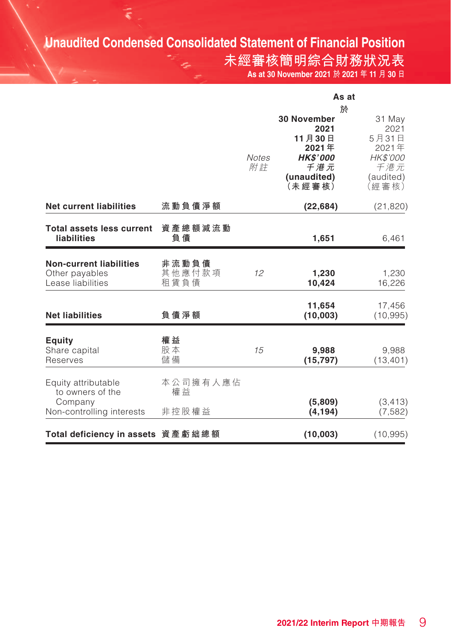## **Unaudited Condensed Consolidated Statement of Financial Position**

**未經審核簡明綜合財務狀況表 As at 30 November 2021 於 2021 年 11 月 30 日**

|                                                                                 |                         |                    | As at                                                                                                 |                                                                           |  |
|---------------------------------------------------------------------------------|-------------------------|--------------------|-------------------------------------------------------------------------------------------------------|---------------------------------------------------------------------------|--|
|                                                                                 |                         | <b>Notes</b><br>附註 | 於<br><b>30 November</b><br>2021<br>11月30日<br>2021年<br><b>HK\$'000</b><br>千港元<br>(unaudited)<br>(未經審核) | 31 May<br>2021<br>5月31日<br>2021年<br>HK\$'000<br>千港元<br>(audited)<br>(經審核) |  |
| <b>Net current liabilities</b>                                                  | 流動負債淨額                  |                    | (22, 684)                                                                                             | (21, 820)                                                                 |  |
| <b>Total assets less current</b><br><b>liabilities</b>                          | 資產總額減流動<br>負債           |                    | 1,651                                                                                                 | 6,461                                                                     |  |
| <b>Non-current liabilities</b><br>Other payables<br>Lease liabilities           | 非流動負債<br>其他應付款項<br>租賃負債 | 12                 | 1,230<br>10,424                                                                                       | 1,230<br>16,226                                                           |  |
| <b>Net liabilities</b>                                                          | 負債淨額                    |                    | 11,654<br>(10,003)                                                                                    | 17,456<br>(10, 995)                                                       |  |
| Equity<br>Share capital<br>Reserves                                             | 權益<br>股本<br>儲備          | 15                 | 9,988<br>(15, 797)                                                                                    | 9,988<br>(13, 401)                                                        |  |
| Equity attributable<br>to owners of the<br>Company<br>Non-controlling interests | 本公司擁有人應佔<br>權益<br>非控股權益 |                    | (5,809)<br>(4, 194)                                                                                   | (3, 413)<br>(7, 582)                                                      |  |
| Total deficiency in assets 資產虧絀總額                                               |                         |                    | (10,003)                                                                                              | (10, 995)                                                                 |  |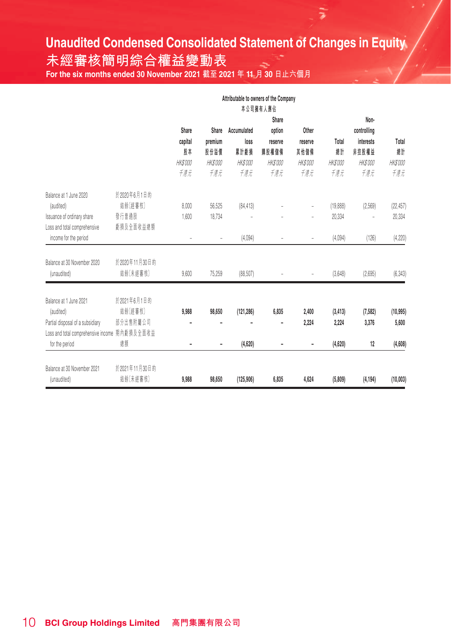# **Unaudited Condensed Consolidated Statement of Changes in Equity**

**未經審核簡明綜合權益變動表**

**For the six months ended 30 November 2021 截至 2021 年 11 月 30 日止六個月** 

|                                               |               |                 |                              |                 | Attributable to owners of the Company<br>本公司擁有人應佔 |                 |           |             |                 |
|-----------------------------------------------|---------------|-----------------|------------------------------|-----------------|---------------------------------------------------|-----------------|-----------|-------------|-----------------|
|                                               |               |                 |                              |                 | Share                                             |                 |           | Non-        |                 |
|                                               |               | Share           | Share                        | Accumulated     | option                                            | Other           |           | controlling |                 |
|                                               |               | capital         | premium                      | loss            | reserve                                           | reserve         | Total     | interests   | Total           |
|                                               |               | 股本              | 股份溢價                         | 累計虧損            | 購股權儲備                                             | 其他儲備            | 總計        | 非控股權益       | 總計              |
|                                               |               | <b>HK\$'000</b> | <b>HK\$'000</b>              | <b>HK\$'000</b> | HK\$'000                                          | <b>HK\$'000</b> | HK\$'000  | HK\$'000    | <b>HK\$'000</b> |
|                                               |               | 千港元             | 千港元                          | 千清元             | 千港元                                               | 千港元             | 千港元       | 千港元         | 千港元             |
| Balance at 1 June 2020                        | 於2020年6月1日的   |                 |                              |                 |                                                   |                 |           |             |                 |
| (audited)                                     | 結餘(經審核)       | 8.000           | 56,525                       | (84, 413)       |                                                   | $\overline{a}$  | (19, 888) | (2.569)     | (22, 457)       |
| Issuance of ordinary share                    | 發行普通股         | 1.600           | 18,734                       |                 |                                                   |                 | 20,334    |             | 20,334          |
| Loss and total comprehensive                  | 虧損及全面收益總額     |                 |                              |                 |                                                   |                 |           |             |                 |
| income for the period                         |               | L               | ÷                            | (4,094)         |                                                   |                 | (4,094)   | (126)       | (4,220)         |
|                                               |               |                 |                              |                 |                                                   |                 |           |             |                 |
| Balance at 30 November 2020                   | 於2020年11月30日的 |                 |                              |                 |                                                   |                 |           |             |                 |
| (unaudited)                                   | 結餘(未經審核)      | 9,600           | 75,259                       | (88, 507)       |                                                   |                 | (3,648)   | (2,695)     | (6, 343)        |
|                                               |               |                 |                              |                 |                                                   |                 |           |             |                 |
| Balance at 1 June 2021                        | 於2021年6月1日的   |                 |                              |                 |                                                   |                 |           |             |                 |
| (audited)                                     | 結餘(經審核)       | 9,988           | 98,650                       | (121, 286)      | 6,835                                             | 2,400           | (3, 413)  | (7,582)     | (10, 995)       |
| Partial disposal of a subsidiary              | 部分出售附屬公司      |                 |                              |                 |                                                   | 2.224           | 2,224     | 3,376       | 5,600           |
| Loss and total comprehensive income 期內虧損及全面收益 |               |                 |                              |                 |                                                   |                 |           |             |                 |
| for the period                                | 總額            |                 | $\qquad \qquad \blacksquare$ | (4,620)         |                                                   | -               | (4,620)   | 12          | (4,608)         |
| Balance at 30 November 2021                   | 於2021年11月30日的 |                 |                              |                 |                                                   |                 |           |             |                 |
| (unaudited)                                   | 結餘(未經審核)      | 9,988           | 98,650                       | (125, 906)      | 6.835                                             | 4.624           | (5,809)   | (4, 194)    | (10.003)        |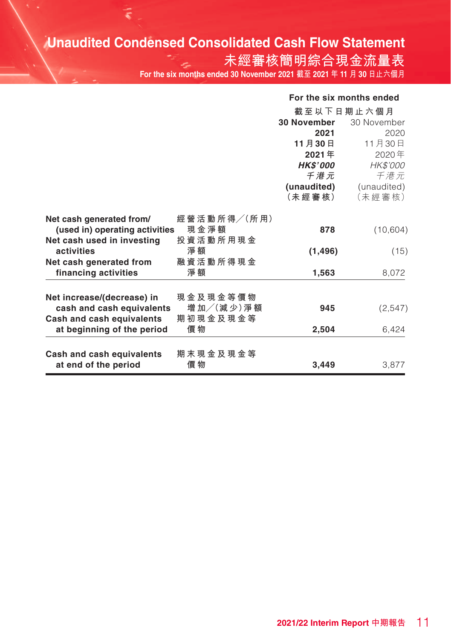# **Unaudited Condensed Consolidated Cash Flow Statement**

**未經審核簡明綜合現金流量表 For the six months ended 30 November 2021 截至 2021 年 11 月 30 日止六個月**

#### **For the six months ended**

|                                |                 | 截至以下日期止六個月         |             |
|--------------------------------|-----------------|--------------------|-------------|
|                                |                 | <b>30 November</b> | 30 November |
|                                |                 | 2021               | 2020        |
|                                |                 | 11月30日             | 11月30日      |
|                                |                 | 2021年              | 2020年       |
|                                |                 | <b>HK\$'000</b>    | HK\$'000    |
|                                |                 | 千港元                | 千港元         |
|                                |                 | (unaudited)        | (unaudited) |
|                                |                 | (未 經 審 核)          | (未經審核)      |
|                                |                 |                    |             |
| Net cash generated from/       | 經營活動所得/(所用)     |                    |             |
| (used in) operating activities | 現金淨額            | 878                | (10, 604)   |
| Net cash used in investing     | 投 資 活 動 所 用 現 金 |                    |             |
| activities                     | 淨 額             | (1, 496)           | (15)        |
| Net cash generated from        | 融資活動所得現金        |                    |             |
| financing activities           | 淨 額             | 1,563              | 8,072       |
|                                |                 |                    |             |
| Net increase/(decrease) in     | 現 金 及 現 金 等 價 物 |                    |             |
| cash and cash equivalents      | 增加/(減少)淨額       | 945                | (2,547)     |
| Cash and cash equivalents      | 期 初 現 金 及 現 金 等 |                    |             |
| at beginning of the period     | 價 物             | 2,504              | 6,424       |
|                                |                 |                    |             |
| Cash and cash equivalents      | 期 末 現 金 及 現 金 等 |                    |             |
| at end of the period           | 價 物             | 3,449              | 3,877       |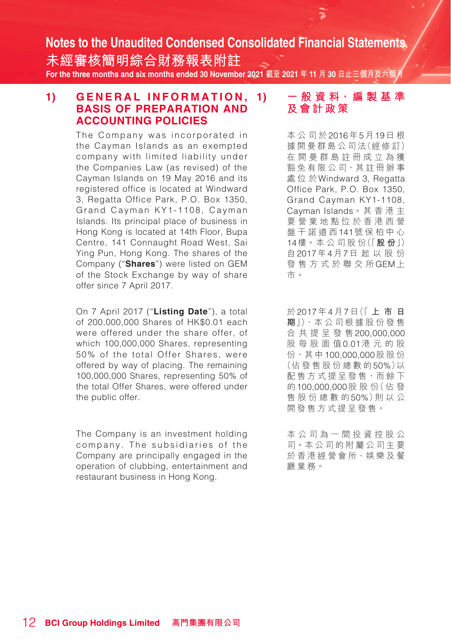**未經審核簡明綜合財務報表附註 For the three months and six months ended 30 November 2021 截至 2021 年 11 月 30 日止三個月及六個月**

#### 1) **GENERAL INFORMATION.** 1) **BASIS OF PREPARATION AND ACCOUNTING POLICIES**

The Company was incorporated in the Cayman Islands as an exempted company with limited liability under the Companies Law (as revised) of the Cayman Islands on 19 May 2016 and its registered office is located at Windward 3, Regatta Office Park, P.O. Box 1350, Grand Cayman KY1-1108, Cayman Islands. Its principal place of business in Hong Kong is located at 14th Floor, Bupa Centre, 141 Connaught Road West, Sai Ying Pun, Hong Kong. The shares of the Company ("**Shares**") were listed on GEM of the Stock Exchange by way of share offer since 7 April 2017.

On 7 April 2017 ("**Listing Date**"), a total of 200,000,000 Shares of HK\$0.01 each were offered under the share offer, of which 100,000,000 Shares, representing 50% of the total Offer Shares, were offered by way of placing. The remaining 100,000,000 Shares, representing 50% of the total Offer Shares, were offered under the public offer

The Company is an investment holding company. The subsidiaries of the Company are principally engaged in the operation of clubbing, entertainment and restaurant business in Hong Kong.

### **1) 一 般 資 料、編 製 基 準 及會計政策**

本公司於2016年5月19日 根 據 開 曼 群 島 公 司 法(經 修 訂) 在開曼群島註冊成立為獲 豁免有限公司,其註冊辦事 處位於Windward 3, Regatta Office Park, P.O. Box 1350, Grand Cayman KY1-1108, Cayman Islands。其香港主 要營業地點位於香港西營 盤干諾道西141號保柏中心 14樓。本 公 司 股 份(「**股 份**」) 自2017年4月7日起以股份 發售方式於聯交所GEM上 市。

於2017年4月7日(「 **上市日 期**」),本 公 司 根 據 股 份 發 售 合共提呈發售200,000,000 股每股面值0.01港元的股 份,其中100,000,000股股份 (佔發售股份總數的50%)以 配售方式提呈發售,而餘下 的100,000,000股 股 份(佔 發 售股份總數的50%)則 以 公 開發售方式提呈發售。

本公司為一間投資控股公 司。本公司的附屬公司主要 於香港經營會所、娛樂及餐 廳業務。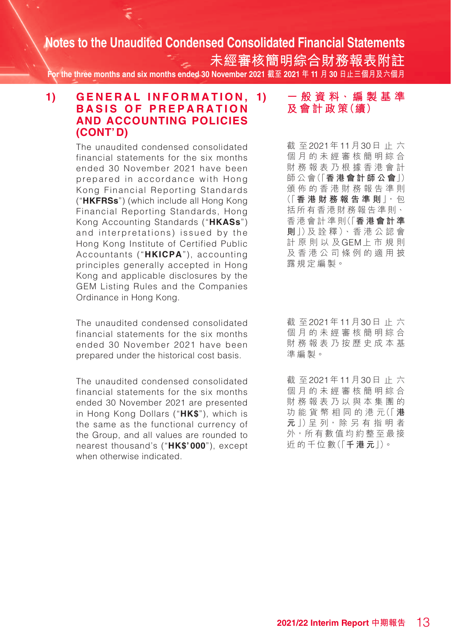**未經審核簡明綜合財務報表附註 For the three months and six months ended 30 November 2021 截至 2021 年 11 月 30 日止三個月及六個月**

#### 1) **GENERAL INFORMATION.** 1) **BASIS OF PREPARATION AND ACCOUNTING POLICIES (CONT'D)**

The unaudited condensed consolidated financial statements for the six months ended 30 November 2021 have been prepared in accordance with Hong Kong Financial Reporting Standards ("**HKFRSs**") (which include all Hong Kong Financial Reporting Standards, Hong Kong Accounting Standards ("**HKASs**") and interpretations) issued by the Hong Kong Institute of Certified Public Accountants ("**HKICPA**"), accounting principles generally accepted in Hong Kong and applicable disclosures by the GEM Listing Rules and the Companies Ordinance in Hong Kong.

The unaudited condensed consolidated financial statements for the six months ended 30 November 2021 have been prepared under the historical cost basis.

The unaudited condensed consolidated financial statements for the six months ended 30 November 2021 are presented in Hong Kong Dollars ("**HK\$**"), which is the same as the functional currency of the Group, and all values are rounded to nearest thousand's ("**HK\$'000**"), except when otherwise indicated.

#### **1) 一 般 資 料、編 製 基 準 及 會 計 政 策(續)**

截 至2021年11月30日止六 個月的未經審核簡明綜合 財務報表乃根據香港會計 師 公 會(「**香港會計師公會**」) 頒佈的香港財務報告準則 (「**香港財務報告準則**」,包 括所有香港財務報告準則、 香 港 會 計 準 則(「**香港會計準 則**」)及 詮 釋)、香 港 公 認 會 計原則以及GEM上市規則 及香港公司條例的適用披 露規定編製。

截 至2021年11月30日止六 個月的未經審核簡明綜合 財務報表乃按歷史成本基 準編製。

截 至2021年11月30日止六 個月的未經審核簡明綜合 財務報表乃以與本集團的 功 能 貨 幣 相 同 的 港 元(「 **港 元** 」)呈 列, 除 另 有 指 明 者 外,所有數值均約整至最接 近 的 千 位 數(「**千港元**」)。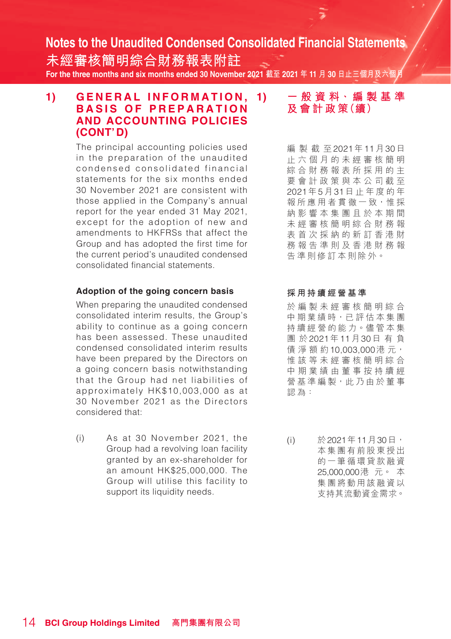**未經審核簡明綜合財務報表附註 For the three months and six months ended 30 November 2021 截至 2021 年 11 月 30 日止三個月及六個月**

#### 1) GENERAL INFORMATION. 1) **BASIS OF PREPARATION AND ACCOUNTING POLICIES (CONT'D)**

The principal accounting policies used in the preparation of the unaudited condensed consolidated financial statements for the six months ended 30 November 2021 are consistent with those applied in the Company's annual report for the year ended 31 May 2021, except for the adoption of new and amendments to HKFRSs that affect the Group and has adopted the first time for the current period's unaudited condensed consolidated financial statements.

#### **Adoption of the going concern basis**

When preparing the unaudited condensed consolidated interim results, the Group's ability to continue as a going concern has been assessed. These unaudited condensed consolidated interim results have been prepared by the Directors on a going concern basis notwithstanding that the Group had net liabilities of approximately HK\$10,003,000 as at 30 November 2021 as the Directors considered that:

(i) As at 30 November 2021, the Group had a revolving loan facility granted by an ex-shareholder for an amount HK\$25,000,000. The Group will utilise this facility to support its liquidity needs.

#### **1) 一 般 資 料、編 製 基 準 及 會 計 政 策(續)**

編製截至2021年11月30日 止六個月的未經審核簡明 綜合財務報表所採用的主 要會計政策與本公司截至 2021年5月31日止年度的年 報所應用者貫徹一致,惟採 納影響本集團且於本期間 未經審核簡明綜合財務報 表首次採納的新訂香港財 務報告準則及香港財務報 告準則修訂本則除外。

#### **採用持續經營基準**

於編製未經審核簡明綜合 中 期 業績時,已評估本集團 持續經營的能力。儘管本集 團 於2021年11月30日有負 債 淨 額 約10,003,000港 元, 惟該等未經審核簡明綜合 中 期 業績由董事按持續經 營基準編製,此乃由於董事 認為:

(i) 於2021年11月30日, 本集團有前股東授出 的一筆循環貸款融資 25,000,000港 元。 本 集團將動用該融資以 支持其流動資金需求。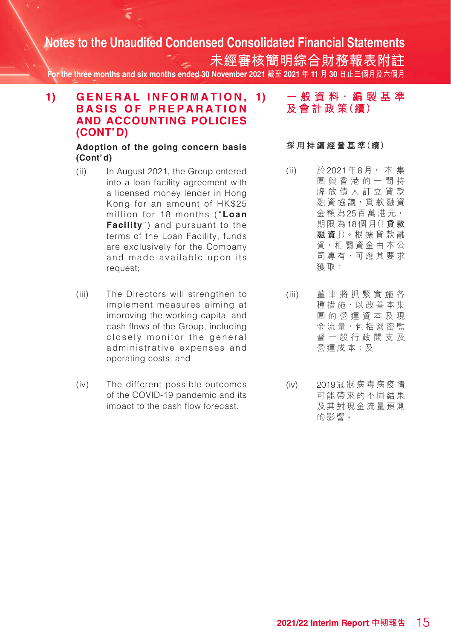**未經審核簡明綜合財務報表附註 For the three months and six months ended 30 November 2021 截至 2021 年 11 月 30 日止三個月及六個月**

#### 1) GENERAL INFORMATION, 1) **BASIS OF PREPARATION AND ACCOUNTING POLICIES (CONT'D)**

#### **Adoption of the going concern basis (Cont'd)**

- (ii) In August 2021, the Group entered into a loan facility agreement with a licensed money lender in Hong Kong for an amount of HK\$25 million for 18 months ("**Loan Facility**") and pursuant to the terms of the Loan Facility, funds are exclusively for the Company and made available upon its request;
- (iii) The Directors will strengthen to implement measures aiming at improving the working capital and cash flows of the Group, including closely monitor the general administrative expenses and operating costs; and
- (iv) The different possible outcomes of the COVID-19 pandemic and its impact to the cash flow forecast.

**1) 一 般 資 料、編 製 基 準 及 會 計 政 策(續)**

**採 用 持 續 經 營 基 準(續)**

- (ii) 於2021年8月, 本 集 團與香港的一間持 牌放債人訂立貸款 融 資 協 議,貸 款 融 資 金額為25百萬港元, 期限為18個 月(「**貸 款 融 資**」)。根 據 貸 款 融 資,相關資金由本公 司 專 有,可 應 其 要 求 獲取;
- (iii) 董事將抓緊實施各 種 措 施, 以 改 善 本 集 團的營運資本及現 金 流 量,包 括 緊 密 監 督一般行政開支及 營運成本;及
- (iv) 2019冠狀病毒病疫情 可能帶來的不同結果 及其對現金流量預測 的影響。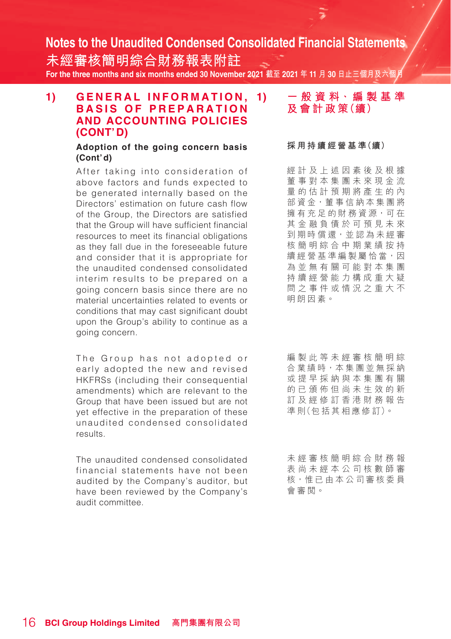**未經審核簡明綜合財務報表附註 For the three months and six months ended 30 November 2021 截至 2021 年 11 月 30 日止三個月及六個月**

#### 1) GENERAL INFORMATION. 1) **BASIS OF PREPARATION AND ACCOUNTING POLICIES (CONT'D)**

#### **Adoption of the going concern basis (Cont'd)**

After taking into consideration of above factors and funds expected to be generated internally based on the Directors' estimation on future cash flow of the Group, the Directors are satisfied that the Group will have sufficient financial resources to meet its financial obligations as they fall due in the foreseeable future and consider that it is appropriate for the unaudited condensed consolidated interim results to be prepared on a going concern basis since there are no material uncertainties related to events or conditions that may cast significant doubt upon the Group's ability to continue as a going concern.

The Group has not adopted or early adopted the new and revised HKFRSs (including their consequential amendments) which are relevant to the Group that have been issued but are not yet effective in the preparation of these unaudited condensed consolidated results.

The unaudited condensed consolidated financial statements have not been audited by the Company's auditor, but have been reviewed by the Company's audit committee.

#### **1) 一 般 資 料、編 製 基 準 及 會 計 政 策(續)**

#### **採 用 持 續 經 營 基 準(續)**

經計及上述因素後及根據 董事對本集團未來現金流 量的估計預期將產生的內 部 資金,董事信納本集團將 擁有充足的財務資源,可在 其金融負債於可預見未來 到期時償還,並認為未經審 核簡明綜合中期業績按持 續經營基準編製屬恰當,因 為並無有關可能對本集團 持續經營能力構成重大疑 問之事件或情況之重大不 明朗因素。

編製此等未經審核簡明綜 合業績時,本集團並無採納 或提早採納與本集團有關 的已頒佈但尚未生效的新 訂及經修訂香港財務報告 準 則(包 括 其 相 應 修 訂)。

未經審核簡明綜合財務報 表尚未經本公司核數師審 核,惟已由本公司審核委員 會審閱。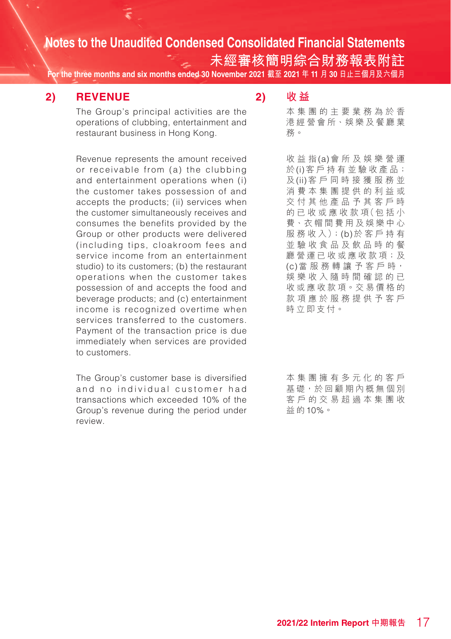**未經審核簡明綜合財務報表附註**

**For the three months and six months ended 30 November 2021 截至 2021 年 11 月 30 日止三個月及六個月**

#### **2) REVENUE**

The Group's principal activities are the operations of clubbing, entertainment and restaurant business in Hong Kong.

Revenue represents the amount received or receivable from (a) the clubbing and entertainment operations when (i) the customer takes possession of and accepts the products; (ii) services when the customer simultaneously receives and consumes the benefits provided by the Group or other products were delivered (including tips, cloakroom fees and service income from an entertainment studio) to its customers; (b) the restaurant operations when the customer takes possession of and accepts the food and beverage products; and (c) entertainment income is recognized overtime when services transferred to the customers. Payment of the transaction price is due immediately when services are provided to customers.

The Group's customer base is diversified and no individual customer had transactions which exceeded 10% of the Group's revenue during the period under review.

#### **2) 收 益**

本集團的主要業務為於香 港經營會所、娛樂及餐廳業 務。

收益指(a)會所及娛樂營運 於(i)客 戶 持 有 並 驗 收 產 品; 及(ii)客戶同時接獲服務並 消費本集團提供的利益或 交付其他產品予其客戶時 的 已 收 或 應 收 款 項(包 括 小 費、衣帽間費用及娛樂中心 服 務 收 入);(b)於客戶持有 並驗收食品及飲品時的餐 廳營運已收或應收款項;及 (c)當 服 務 轉 讓 予 客 戶 時, 娛樂收入隨時間確認的已 收或應收款項。交易價格的 款項應於服務提供予客戶 時立即支付。

本集團擁有多元化的客戶 基礎,於回顧期內概無個別 客戶的交易超過本集團收 益 的10%。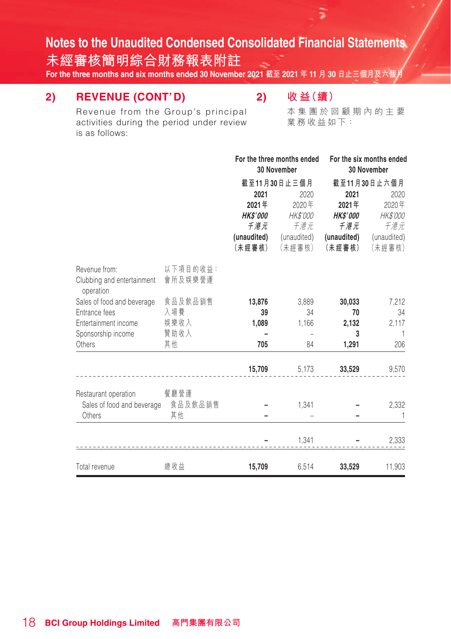**未經審核簡明綜合財務報表附註**

**For the three months and six months ended 30 November 2021 截至 2021 年 11 月 30 日止三個月及六個月**

### **2) REVENUE (CONT'D)**

## **2) 收 益(續)**

ą

Revenue from the Group's principal activities during the period under review is as follows:

本集團於回顧期內的主要 業務收益如下:

|                                                                      |                     | For the three months ended<br>30 November |                                                  | For the six months ended<br>30 November |                                           |  |
|----------------------------------------------------------------------|---------------------|-------------------------------------------|--------------------------------------------------|-----------------------------------------|-------------------------------------------|--|
|                                                                      |                     | 2021<br>2021年<br><b>HKS'000</b>           | 截至11月30日止三個月<br>2020<br>2020年<br><i>HK\$'000</i> | 2021<br>2021年<br><b>HK\$'000</b>        | 截至11月30日止六個月<br>2020<br>2020年<br>HK\$'000 |  |
|                                                                      |                     | 千港元                                       | 千港元                                              | 千港元                                     | 千港元                                       |  |
|                                                                      |                     | (unaudited)<br>(未經審核)                     | (unaudited)<br>(未經審核)                            | (未經審核)                                  | (unaudited) (unaudited)<br>(未經審核)         |  |
| Revenue from:<br>Clubbing and entertainment<br>operation             | 以下項目的收益:<br>會所及娛樂營運 |                                           |                                                  |                                         |                                           |  |
| Sales of food and beverage                                           | 食品及飲品銷售             | 13,876                                    | 3,889                                            | 30,033                                  | 7,212                                     |  |
| Entrance fees                                                        | 入場費                 | 39                                        | 34                                               | 70                                      | 34                                        |  |
| Entertainment income                                                 | 娛樂收入                | 1,089                                     | 1,166                                            | 2,132                                   | 2,117                                     |  |
| Sponsorship income                                                   | 贊助收入                |                                           |                                                  | 3                                       | $\mathbf{1}$                              |  |
| Others                                                               | 其他                  | 705                                       | 84                                               | 1,291                                   | 206                                       |  |
|                                                                      |                     | 15,709                                    | 5,173                                            | 33,529                                  | 9,570                                     |  |
| Restaurant operation<br>Sales of food and beverage 食品及飲品銷售<br>Others | 餐廳營運<br>其他          |                                           | 1,341                                            |                                         | 2,332<br>-1                               |  |
|                                                                      |                     |                                           | 1,341                                            |                                         | 2,333                                     |  |
| Total revenue                                                        | 總收益                 | 15,709                                    | 6,514                                            | 33,529                                  | 11,903                                    |  |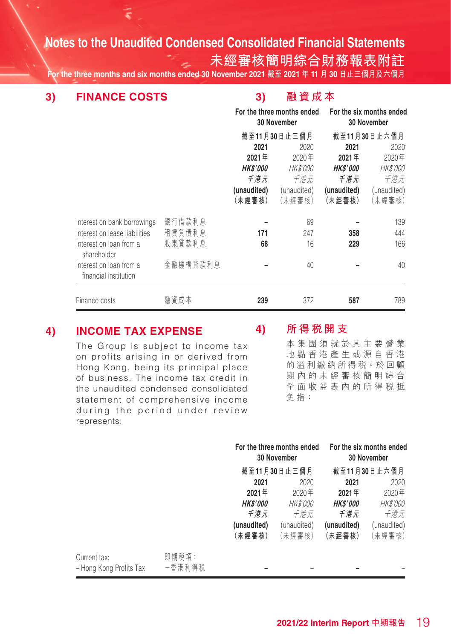**未經審核簡明綜合財務報表附註**

**For the three months and six months ended 30 November 2021 截至 2021 年 11 月 30 日止三個月及六個月**

**3) FINANCE COSTS**

#### **3) 融資成本**

|                                                  |          | For the three months ended<br>30 November |                 |                 | For the six months ended<br>30 November |
|--------------------------------------------------|----------|-------------------------------------------|-----------------|-----------------|-----------------------------------------|
|                                                  |          |                                           | 截至11月30日止三個月    |                 | 截至11月30日止六個月                            |
|                                                  |          | 2021                                      | 2020            | 2021            | 2020                                    |
|                                                  |          | 2021年                                     | 2020年           | 2021年           | 2020年                                   |
|                                                  |          | <i><b>HK\$'000</b></i>                    | <i>HK\$'000</i> | <b>HK\$'000</b> | <b>HK\$'000</b>                         |
|                                                  |          | 千港元                                       | 千港元             | 千港元             | 千港元                                     |
|                                                  |          | (unaudited)                               | (unaudited)     | (unaudited)     | (unaudited)                             |
|                                                  |          | (未經審核)                                    | (未經審核)          | (未經審核)          | (未經審核)                                  |
| Interest on bank borrowings                      | 銀行借款利息   |                                           | 69              |                 | 139                                     |
| Interest on lease liabilities                    | 租賃負債利息   | 171                                       | 247             | 358             | 444                                     |
| Interest on loan from a<br>shareholder           | 股東貸款利息   | 68                                        | 16              | 229             | 166                                     |
| Interest on loan from a<br>financial institution | 金融機構貸款利息 |                                           | 40              |                 | 40                                      |
| Finance costs                                    | 融資成本     | 239                                       | 372             | 587             | 789                                     |

### **4) INCOME TAX EXPENSE**

represents:

The Group is subject to income tax on profits arising in or derived from Hong Kong, being its principal place of business. The income tax credit in the unaudited condensed consolidated statement of comprehensive income during the period under review

#### **4) 所得稅開支**

本集團須就於其主要營業 地點香港產生或源自香港 的溢利繳納所得稅。於回顧 期內的未經審核簡明綜合 全面收益表內的所得稅抵 免指:

|                                         |                 |                        | For the three months ended<br>30 November |                 | For the six months ended<br>30 November |
|-----------------------------------------|-----------------|------------------------|-------------------------------------------|-----------------|-----------------------------------------|
|                                         |                 |                        | 截至11月30日止三個月                              |                 | 截至11月30日止六個月                            |
|                                         |                 | 2021                   | 2020                                      | 2021            | 2020                                    |
|                                         |                 | 2021年                  | 2020年                                     | 2021年           | 2020年                                   |
|                                         |                 | <i><b>HK\$'000</b></i> | <i>HK\$'000</i>                           | <b>HK\$'000</b> | <i>HK\$'000</i>                         |
|                                         |                 | 千港元                    | 千港元                                       | 千港元             | 千港元                                     |
|                                         |                 | (unaudited)            | (unaudited)                               | (unaudited)     | (unaudited)                             |
|                                         |                 | 〔未經審核〕                 | 〔未經審核〕                                    | (未經審核)          | (未經審核)                                  |
| Current tax:<br>- Hong Kong Profits Tax | 即期税項:<br>一香港利得税 |                        |                                           |                 |                                         |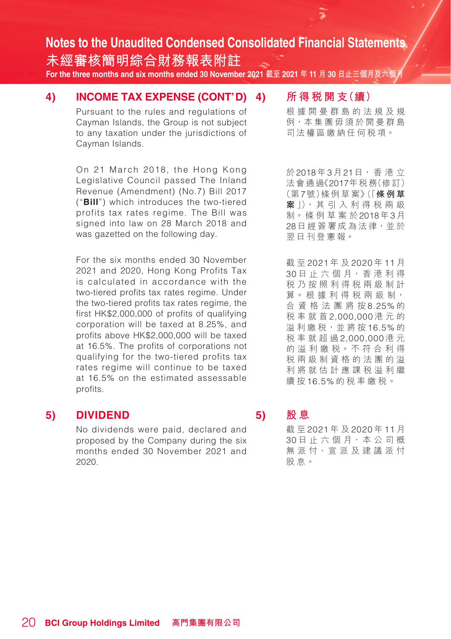**未經審核簡明綜合財務報表附註 For the three months and six months ended 30 November 2021 截至 2021 年 11 月 30 日止三個月及六個月**

#### **4) INCOME TAX EXPENSE (CONT'D)**

Pursuant to the rules and regulations of Cayman Islands, the Group is not subject to any taxation under the jurisdictions of Cayman Islands.

On 21 March 2018, the Hong Kong Legislative Council passed The Inland Revenue (Amendment) (No.7) Bill 2017 ("**Bill**") which introduces the two-tiered profits tax rates regime. The Bill was signed into law on 28 March 2018 and was gazetted on the following day.

For the six months ended 30 November 2021 and 2020, Hong Kong Profits Tax is calculated in accordance with the two-tiered profits tax rates regime. Under the two-tiered profits tax rates regime, the first HK\$2,000,000 of profits of qualifying corporation will be taxed at 8.25%, and profits above HK\$2,000,000 will be taxed at 16.5%. The profits of corporations not qualifying for the two-tiered profits tax rates regime will continue to be taxed at 16.5% on the estimated assessable profits.

#### **5) DIVIDEND**

No dividends were paid, declared and proposed by the Company during the six months ended 30 November 2021 and 2020.

#### **4) 所 得 稅 開 支(續)**

÷

根據開曼群島的法規及規 例,本集團毋須於開曼群島 司法權區繳納任何稅項。

於2018年3月21日, 香 港 立 法會通過《2017年税務(修訂) (第7號)條 例 草 案》(「**條例草 案** 」), 其 引 入 利 得 稅 兩 級 制。條 例 草 案 於2018年3月 28日經簽署成為法律,並於 翌日刊登憲報。

截 至 2021 年 及 2020 年 11 月 30 日 止 六 個 月,香 港 利 得 稅乃按照利得稅兩級制計 算。根 據 利 得 税 兩 級 制, 合資格法團將按 8.25% 的 稅率就首 2,000,000 港元的 溢利繳稅,並將按 16.5% 的 稅率就超過 2,000,000 港 元 的 溢 利 繳 稅。不 符 合 利 得 稅兩級制資格的法團的溢 利將就估計應課稅溢利繼 續 按 16.5% 的稅率繳稅。

#### **5) 股 息**

截 至 2021 年 及 2020 年 11 月 30 日 止 六 個 月,本 公 司 概 無 派 付、宣 派 及 建 議 派 付 股息。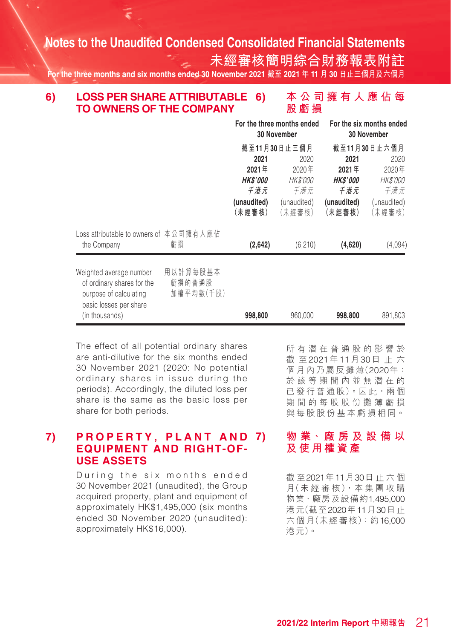**未經審核簡明綜合財務報表附註**

**For the three months and six months ended 30 November 2021 截至 2021 年 11 月 30 日止三個月及六個月**

#### **6) 本公司擁有人應佔每 股虧損 6) LOSS PER SHARE ATTRIBUTABLE TO OWNERS OF THE COMPANY**

|                                                                                                           |                                 | For the three months ended<br>30 November |                 | For the six months ended<br>30 November |                 |  |
|-----------------------------------------------------------------------------------------------------------|---------------------------------|-------------------------------------------|-----------------|-----------------------------------------|-----------------|--|
|                                                                                                           |                                 |                                           | 截至11月30日止三個月    |                                         | 截至11月30日止六個月    |  |
|                                                                                                           |                                 | 2021                                      | 2020            | 2021                                    | 2020            |  |
|                                                                                                           |                                 | 2021年                                     | 2020年           | 2021年                                   | 2020年           |  |
|                                                                                                           |                                 | <b>HKS'000</b>                            | <i>HK\$'000</i> | <b>HK\$'000</b>                         | <i>HK\$'000</i> |  |
|                                                                                                           |                                 | 千港元                                       | 千港元             | 千港元                                     | 千港元             |  |
|                                                                                                           |                                 | (unaudited)                               | (unaudited)     | (unaudited)                             | (unaudited)     |  |
|                                                                                                           |                                 | (未經審核)                                    | (未經審核)          | (未經審核)                                  | (未經審核)          |  |
| Loss attributable to owners of 本公司擁有人應佔<br>the Company                                                    | 虧損                              | (2,642)                                   | (6,210)         | (4,620)                                 | (4,094)         |  |
|                                                                                                           |                                 |                                           |                 |                                         |                 |  |
| Weighted average number<br>of ordinary shares for the<br>purpose of calculating<br>basic losses per share | 用以計算每股基本<br>虧損的普通股<br>加權平均數(千股) |                                           |                 |                                         |                 |  |
| (in thousands)                                                                                            |                                 | 998,800                                   | 960,000         | 998,800                                 | 891,803         |  |

The effect of all potential ordinary shares are anti-dilutive for the six months ended 30 November 2021 (2020: No potential ordinary shares in issue during the periods). Accordingly, the diluted loss per share is the same as the basic loss per share for both periods.

#### **7) P R O P E R T Y , P L A N T A N D EQUIPMENT AND RIGHT-OF-USE ASSETS**

During the six months ended 30 November 2021 (unaudited), the Group acquired property, plant and equipment of approximately HK\$1,495,000 (six months ended 30 November 2020 (unaudited): approximately HK\$16,000).

所有潛在普通股的影響於 截 至2021年11月30日止六 個月內乃屬反攤薄(2020年: 於該等期間內並無潛在的 已 發 行 普 通 股)。因 此, 兩 個 期間的每股股份攤薄虧損 與每股股份基本虧損相同。

#### **7) 物 業、廠 房 及 設 備 以 及使用權資產**

截 至2021年11月30日止六個 月(未 經 審 核), 本 集 團 收 購 物業、廠房及設備約1,495,000 港元(截至2020年11月30日止 六個月(未經審核):約16,000 港元)。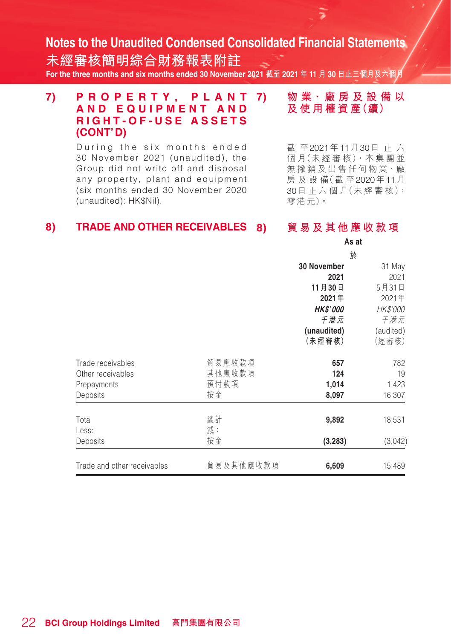**未經審核簡明綜合財務報表附註 For the three months and six months ended 30 November 2021 截至 2021 年 11 月 30 日止三個月及六個月**

#### **7) P R O P E R T Y , P L A N T AND EQUIPMENT A N D RIGHT-OF-USE ASSETS (CONT'D)**

During the six months ended 30 November 2021 (unaudited), the Group did not write off and disposal any property, plant and equipment (six months ended 30 November 2020 (unaudited): HK\$Nil).

**7) 物 業、廠 房 及 設 備 以 及使用權資產(續)**

截 至2021年11月30日止六 個月(未經審核),本集團並 無撇銷及出售任何物業、廠 房 及 設 備(截 至2020年11月 30日 止 六 個 月(未 經 審 核): 零港元)。

#### **8) TRADE AND OTHER RECEIVABLES**

**8) 貿易及其他應收款項**

|                             |           | As at           |           |
|-----------------------------|-----------|-----------------|-----------|
|                             |           | 於               |           |
|                             |           | 30 November     | 31 May    |
|                             |           | 2021            | 2021      |
|                             |           | 11月30日          | 5月31日     |
|                             |           | 2021年           | 2021年     |
|                             |           | <b>HK\$'000</b> | HK\$'000  |
|                             |           | 千港元             | 千港元       |
|                             |           | (unaudited)     | (audited) |
|                             |           | (未經審核)          | (經審核)     |
| Trade receivables           | 貿易應收款項    | 657             | 782       |
| Other receivables           | 其他應收款項    | 124             | 19        |
| Prepayments                 | 預付款項      | 1,014           | 1,423     |
| Deposits                    | 按金        | 8,097           | 16,307    |
| Total                       | 總計        | 9,892           | 18,531    |
| Less:                       | 減:        |                 |           |
| Deposits                    | 按金        | (3, 283)        | (3,042)   |
| Trade and other receivables | 貿易及其他應收款項 | 6,609           | 15,489    |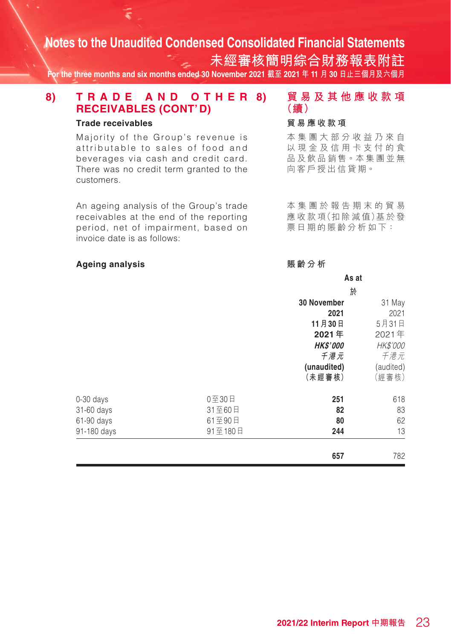**未經審核簡明綜合財務報表附註 For the three months and six months ended 30 November 2021 截至 2021 年 11 月 30 日止三個月及六個月**

#### **8) T R A D E A N D O T H E R RECEIVABLES (CONT'D)**

#### **Trade receivables**

Majority of the Group's revenue is attributable to sales of food and beverages via cash and credit card. There was no credit term granted to the customers.

An ageing analysis of the Group's trade receivables at the end of the reporting period, net of impairment, based on invoice date is as follows:

#### **Ageing analysis**

**8) 貿易及其他應收款項 (續)**

#### **貿易應收款項**

本集團大部分收益乃來自 以現金及信用卡支付的食 品及飲品銷售。本集團並無 向客戶授出信貸期。

本集團於報告期末的貿易 應 收 款 項(扣 除 減 值)基 於 發 票日期的賬齡分析如下:

#### **賬齡分析**

|             |         |                    | As at     |  |  |
|-------------|---------|--------------------|-----------|--|--|
|             |         | 於                  |           |  |  |
|             |         | <b>30 November</b> | 31 May    |  |  |
|             |         | 2021               | 2021      |  |  |
|             |         | 11月30日             | 5月31日     |  |  |
|             |         | 2021年              | 2021年     |  |  |
|             |         | <b>HK\$'000</b>    | HK\$'000  |  |  |
|             |         | 千港元                | 千港元       |  |  |
|             |         | (unaudited)        | (audited) |  |  |
|             |         | (未經審核)             | (經審核)     |  |  |
| $0-30$ days | 0至30日   | 251                | 618       |  |  |
| 31-60 days  | 31至60日  | 82                 | 83        |  |  |
| 61-90 days  | 61至90日  | 80                 | 62        |  |  |
| 91-180 days | 91至180日 | 244                | 13        |  |  |
|             |         | 657                | 782       |  |  |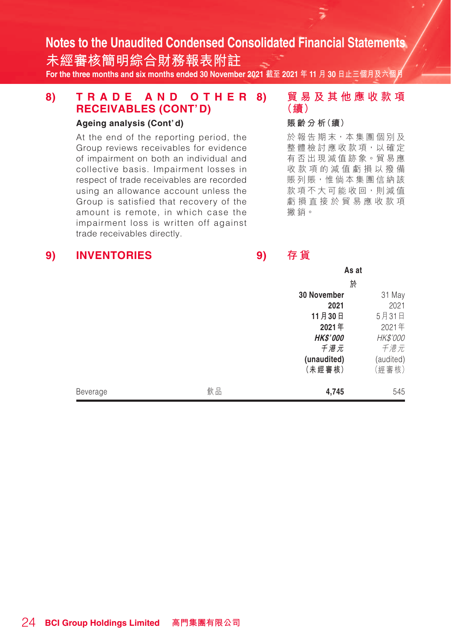**未經審核簡明綜合財務報表附註 For the three months and six months ended 30 November 2021 截至 2021 年 11 月 30 日止三個月及六個月**

#### **8) T R A D E A N D O T H E R RECEIVABLES (CONT'D)**

#### **Ageing analysis (Cont'd)**

At the end of the reporting period, the Group reviews receivables for evidence of impairment on both an individual and collective basis. Impairment losses in respect of trade receivables are recorded using an allowance account unless the Group is satisfied that recovery of the amount is remote, in which case the impairment loss is written off against trade receivables directly.

#### **8) 貿易及其他應收款項 (續)**

#### **賬 齡 分 析(續)**

於報告期末,本集團個別及 整體檢討應收款項,以確定 有否出現減值跡象。貿易應 收款項的減值虧損以撥備 賬列賬,惟倘本集團信納該 款項不大可能收回,則減值 虧損直接於貿易應收款項 撇銷。

#### **9) INVENTORIES**

**9) 存 貨**

|          |    | As at                 |                    |  |
|----------|----|-----------------------|--------------------|--|
|          |    | 於                     |                    |  |
|          |    | 30 November           | 31 May             |  |
|          |    | 2021                  | 2021               |  |
|          |    | 11月30日                | 5月31日              |  |
|          |    | 2021年                 | 2021年              |  |
|          |    | <b>HK\$'000</b>       | HK\$'000           |  |
|          |    | 千港元                   | 千港元                |  |
|          |    | (unaudited)<br>(未經審核) | (audited)<br>(經審核) |  |
| Beverage | 飲品 | 4,745                 | 545                |  |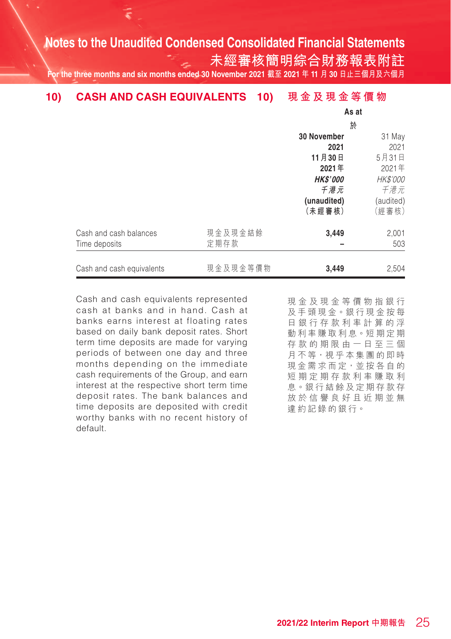**未經審核簡明綜合財務報表附註**

**For the three months and six months ended 30 November 2021 截至 2021 年 11 月 30 日止三個月及六個月**

#### **10) 現金及現金等價物 10) CASH AND CASH EQUIVALENTS**

|                           |          |                    | As at     |  |  |
|---------------------------|----------|--------------------|-----------|--|--|
|                           |          | 於                  |           |  |  |
|                           |          | <b>30 November</b> | 31 May    |  |  |
|                           |          | 2021               | 2021      |  |  |
|                           |          | 11月30日             | 5月31日     |  |  |
|                           |          | 2021年              | 2021年     |  |  |
|                           |          | <b>HK\$'000</b>    | HK\$'000  |  |  |
|                           |          | 千港元                | 千港元       |  |  |
|                           |          | (unaudited)        | (audited) |  |  |
|                           |          | (未經審核)             | (經審核)     |  |  |
| Cash and cash balances    | 現金及現金結餘  | 3,449              | 2,001     |  |  |
| Time deposits             | 定期存款     |                    | 503       |  |  |
| Cash and cash equivalents | 現金及現金等價物 | 3,449              | 2,504     |  |  |

Cash and cash equivalents represented cash at banks and in hand. Cash at banks earns interest at floating rates based on daily bank deposit rates. Short term time deposits are made for varying periods of between one day and three months depending on the immediate cash requirements of the Group, and earn interest at the respective short term time deposit rates. The bank balances and time deposits are deposited with credit worthy banks with no recent history of default.

現金及現金等價物指銀行 及手頭現金。銀行現金按每 日銀行存款利率計算的浮 動利率賺取利息。短期定期 存款的期限由一日至三個 月不等,視乎本集團的即時 現金需求而定,並按各自的 短期定期存款利率賺取利 息。銀行結餘及定期存款存 放於信譽良好且近期並無 違約記錄的銀行。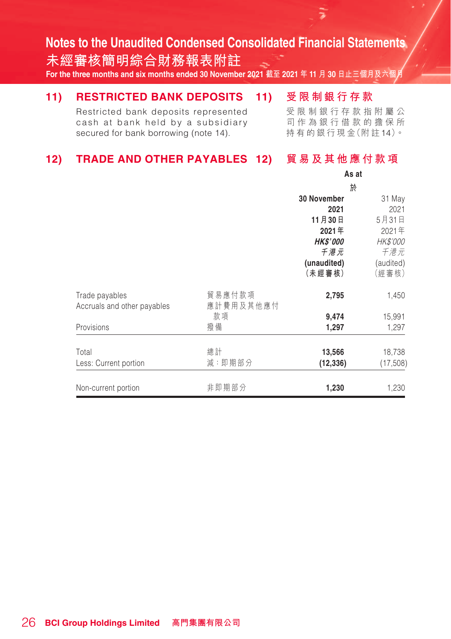**未經審核簡明綜合財務報表附註 For the three months and six months ended 30 November 2021 截至 2021 年 11 月 30 日止三個月及六個月**

#### **11) 受限制銀行存款 11) RESTRICTED BANK DEPOSITS**

Restricted bank deposits represented cash at bank held by a subsidiary secured for bank borrowing (note 14).

受限制銀行存款指附屬公 司作為銀行借款的擔保所 持 有 的 銀 行 現 金(附 註14)。

#### 12) TRADE AND OTHER PAYABLES 12) 貿易及其他應付款項

|                             |           | As at              |           |  |
|-----------------------------|-----------|--------------------|-----------|--|
|                             |           | 於                  |           |  |
|                             |           | <b>30 November</b> | 31 May    |  |
|                             |           | 2021               | 2021      |  |
|                             |           | 11月30日             | 5月31日     |  |
|                             |           | 2021年              | 2021年     |  |
|                             |           | <b>HK\$'000</b>    | HK\$'000  |  |
|                             |           | 千港元                | 千港元       |  |
|                             |           | (unaudited)        | (audited) |  |
|                             |           | (未經審核)             | (經審核)     |  |
| Trade payables              | 貿易應付款項    | 2,795              | 1,450     |  |
| Accruals and other payables | 應計費用及其他應付 |                    |           |  |
|                             | 款項        | 9,474              | 15,991    |  |
| Provisions                  | 撥備        | 1,297              | 1,297     |  |
| Total                       | 總計        | 13,566             | 18,738    |  |
| Less: Current portion       | 減:即期部分    | (12, 336)          | (17, 508) |  |
| Non-current portion         | 非即期部分     | 1,230              | 1,230     |  |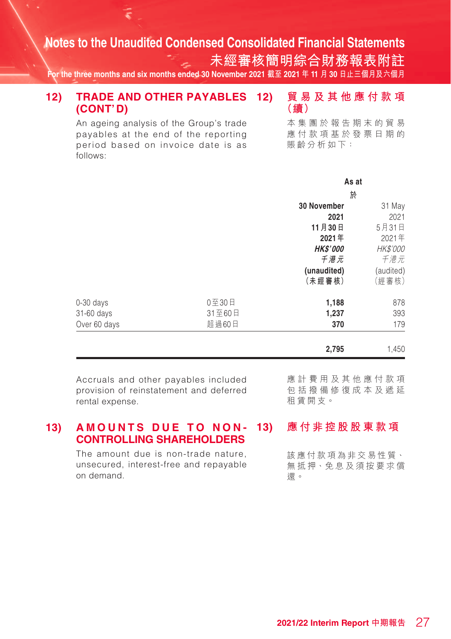**未經審核簡明綜合財務報表附註**

**(續)**

**For the three months and six months ended 30 November 2021 截至 2021 年 11 月 30 日止三個月及六個月**

#### **12) 貿易及其他應付款項 12) TRADE AND OTHER PAYABLES (CONT'D)**

An ageing analysis of the Group's trade payables at the end of the reporting period based on invoice date is as follows:

本集團於報告期末的貿易 應付款項基於發票日期的 賬齡分析如下:

|              |        | As at              |           |  |
|--------------|--------|--------------------|-----------|--|
|              |        | 於                  |           |  |
|              |        | <b>30 November</b> | 31 May    |  |
|              |        | 2021               | 2021      |  |
|              |        | 11月30日             | 5月31日     |  |
|              |        | 2021年              | 2021年     |  |
|              |        | <b>HK\$'000</b>    | HK\$'000  |  |
|              |        | 千港元                | 千港元       |  |
|              |        | (unaudited)        | (audited) |  |
|              |        | (未經審核)             | (經審核)     |  |
| $0-30$ days  | 0至30日  | 1,188              | 878       |  |
| 31-60 days   | 31至60日 | 1,237              | 393       |  |
| Over 60 days | 超過60日  | 370                | 179       |  |
|              |        | 2.795              | 1.450     |  |

Accruals and other payables included provision of reinstatement and deferred rental expense.

應計費用及其他應付款項 包括撥備修復成本及遞延 租賃開支。

#### **13) AMOUNTS DUE TO NON-CONTROLLING SHAREHOLDERS**

The amount due is non-trade nature, unsecured, interest-free and repayable on demand.

**13) 應付非控股股東款項**

該應付款項為非交易性質、 無抵押、免息及須按要求償 還。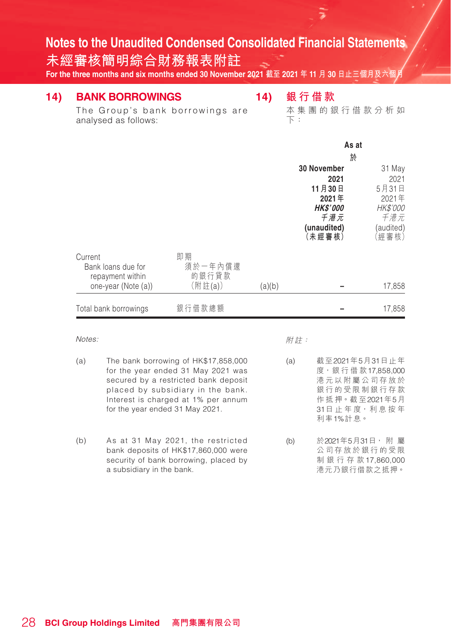**未經審核簡明綜合財務報表附註**

**For the three months and six months ended 30 November 2021 截至 2021 年 11 月 30 日止三個月及六個月**

## **14) BANK BORROWINGS**

**14) 銀 行 借 款**

The Group's bank borrowings are analysed as follows:

本集團的銀 行 借款分析如 下:

|                                        |                  | As at                 |                       |                    |
|----------------------------------------|------------------|-----------------------|-----------------------|--------------------|
|                                        |                  | 於                     |                       |                    |
|                                        |                  | 30 November<br>31 May |                       |                    |
|                                        |                  |                       | 2021                  | 2021               |
|                                        |                  |                       | 11月30日                | 5月31日              |
|                                        |                  |                       | 2021年                 | 2021年              |
|                                        |                  |                       | <b>HK\$'000</b>       | HK\$'000           |
|                                        |                  |                       | 千港元                   | 千港元                |
|                                        |                  |                       | (unaudited)<br>(未經審核) | (audited)<br>(經審核) |
| Current                                | 即期               |                       |                       |                    |
| Bank loans due for<br>repayment within | 須於一年內償還<br>的銀行貸款 |                       |                       |                    |
| one-year (Note (a))                    | (附註(a))          | (a)(b)                |                       | 17,858             |
|                                        |                  |                       |                       |                    |
| Total bank borrowings                  | 銀行借款總額           |                       |                       | 17,858             |

Notes:

附註:

- (a) The bank borrowing of HK\$17,858,000 for the year ended 31 May 2021 was secured by a restricted bank deposit placed by subsidiary in the bank. Interest is charged at 1% per annum for the year ended 31 May 2021.
- (b) As at 31 May 2021, the restricted bank deposits of HK\$17,860,000 were security of bank borrowing, placed by a subsidiary in the bank.

(a) 截至2021年5月31日止年 度,銀 行 借 款17,858,000 港元以附屬公司存放於 銀行的受限制銀行存款 作 抵 押。截 至2021年5月 31日 止 年 度,利息 按 年 利率1%計息。

(b) 於2021年5月31日, 附 屬 公 司 存 放於銀行的受限 制銀行存款17,860,000 港元乃銀行借款之抵押。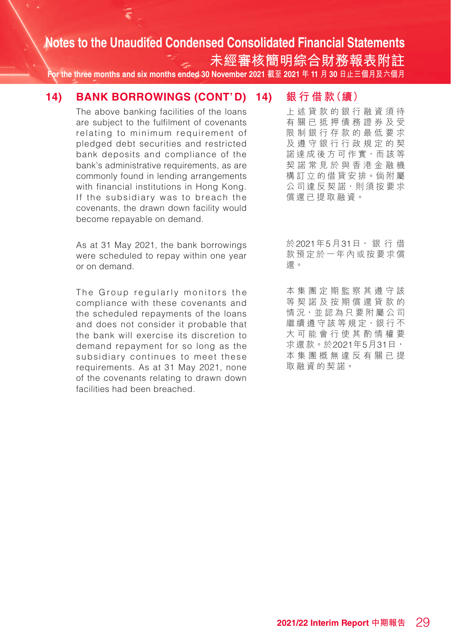**未經審核簡明綜合財務報表附註**

**For the three months and six months ended 30 November 2021 截至 2021 年 11 月 30 日止三個月及六個月**

#### **14) BANK BORROWINGS (CONT'D)**

The above banking facilities of the loans are subject to the fulfilment of covenants relating to minimum requirement of pledged debt securities and restricted bank deposits and compliance of the bank's administrative requirements, as are commonly found in lending arrangements with financial institutions in Hong Kong. If the subsidiary was to breach the covenants, the drawn down facility would become repayable on demand.

As at 31 May 2021, the bank borrowings were scheduled to repay within one year or on demand.

The Group regularly monitors the compliance with these covenants and the scheduled repayments of the loans and does not consider it probable that the bank will exercise its discretion to demand repayment for so long as the subsidiary continues to meet these requirements. As at 31 May 2021, none of the covenants relating to drawn down facilities had been breached.

**14) 銀 行 借 款(續)**

上述貸款的銀行融資須待 有關已抵押債務證券及受 限制銀行存款的最低要求 及遵守銀行行政規定的契 諾達成後方可作實,而該等 契諾常見於與香港金融機 構訂立的借貸安排。倘 附 屬 公司違反契諾,則須按要求 償還已提取融資。

於2021年5月31日, 銀 行 借 款預定於一年內或按要求償 還。

本集團定期監察其遵守該 等契諾及按期償還貸款的 情況,並認為只要附屬公司 繼續遵守該等規定,銀行不 大可能會行使其酌情權要 求還款。於2021年5月31日, 本集團概無違反有關已提 取融資的契諾。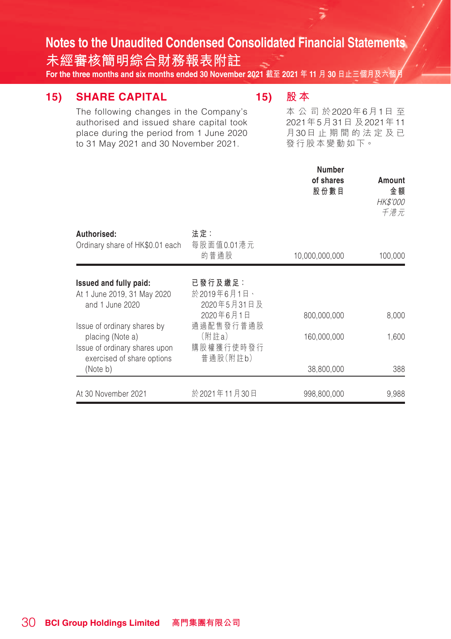**未經審核簡明綜合財務報表附註**

The following changes in the Company's authorised and issued share capital took place during the period from 1 June 2020 to 31 May 2021 and 30 November 2021.

**For the three months and six months ended 30 November 2021 截至 2021 年 11 月 30 日止三個月及六個月**

### **15) SHARE CAPITAL**

## **15) 股 本**

本公司於2020年6月1日 至 2021年5月31日 及2021年11 月30日 止 期間的法定及已 發行股本變動如下。

|                                                                                  |                                              | <b>Number</b><br>of shares<br>股份數目 | Amount<br>金額<br><b>HK\$'000</b><br>千港元 |
|----------------------------------------------------------------------------------|----------------------------------------------|------------------------------------|----------------------------------------|
| Authorised:<br>Ordinary share of HK\$0.01 each                                   | 法定:<br>每股面值0.01港元<br>的普通股                    | 10,000,000,000                     | 100,000                                |
| Issued and fully paid:<br>At 1 June 2019, 31 May 2020<br>and 1 June 2020         | 已 發 行 及 繳 足 :<br>於2019年6月1日、<br>2020年5月31日及  |                                    |                                        |
| Issue of ordinary shares by<br>placing (Note a)<br>Issue of ordinary shares upon | 2020年6月1日<br>通過配售發行普通股<br>(附註a)<br>購股權獲行使時發行 | 800,000,000<br>160,000,000         | 8,000<br>1,600                         |
| exercised of share options<br>(Note b)                                           | 普通股(附註b)                                     | 38,800,000                         | 388                                    |
| At 30 November 2021                                                              | 於 2021年11月30日                                | 998,800,000                        | 9,988                                  |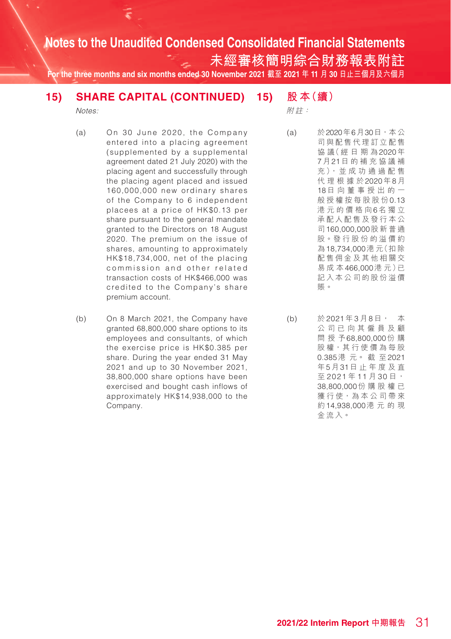**未經審核簡明綜合財務報表附註**

**For the three months and six months ended 30 November 2021 截至 2021 年 11 月 30 日止三個月及六個月**

#### **15) 股 本(續) 15) SHARE CAPITAL (CONTINUED)**

Notes:

附註:

- (a) On 30 June 2020, the Company entered into a placing agreement (supplemented by a supplemental agreement dated 21 July 2020) with the placing agent and successfully through the placing agent placed and issued 160,000,000 new ordinary shares of the Company to 6 independent placees at a price of HK\$0.13 per share pursuant to the general mandate granted to the Directors on 18 August 2020. The premium on the issue of shares, amounting to approximately HK\$18,734,000, net of the placing commission and other related transaction costs of HK\$466,000 was credited to the Company's share premium account.
- (b) On 8 March 2021, the Company have granted 68,800,000 share options to its employees and consultants, of which the exercise price is HK\$0.385 per share. During the year ended 31 May 2021 and up to 30 November 2021, 38,800,000 share options have been exercised and bought cash inflows of approximately HK\$14,938,000 to the Company.

(a) 於2020年6月30日,本公 司與配售代理訂立配售 協 議( 經 日 期 為2020年 7月21日的補充協議補 充 ), 並 成 功 通 過 配 售 代理根據於2020年8月 18日向董事授出的一 般授權按每股股份0.13 港元的價格向6名獨立 承配人配售及發行本公 司160,000,000股新普通 股。發 行 股 份 的 溢 價 約 為18,734,000港 元(扣 除 配售佣金及其他相關交 易成本466,000港 元)已 記入本公司的股份溢價 賬。

(b) 於 2021年3月8日, 本 公司已向其僱員及顧 問授予68,800,000份 購 股權,其行使價為每股 0.385港 元。 截 至2021 年5月31日止年度 及 直 至 2021年11月30日, 38,800,000份購股權已 獲行使,為本公司帶來 約14,938,000港元的現 金流入。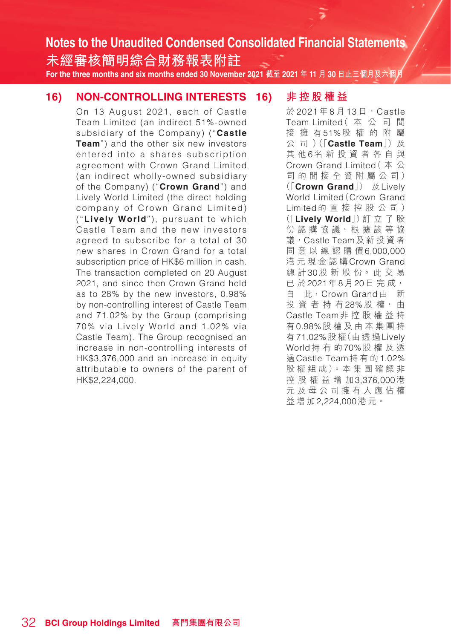**未經審核簡明綜合財務報表附註 For the three months and six months ended 30 November 2021 截至 2021 年 11 月 30 日止三個月及六個月**

#### **16) NON-CONTROLLING INTERESTS**

On 13 August 2021, each of Castle Team Limited (an indirect 51%-owned subsidiary of the Company) ("**Castle Team**") and the other six new investors entered into a shares subscription agreement with Crown Grand Limited (an indirect wholly-owned subsidiary of the Company) ("**Crown Grand**") and Lively World Limited (the direct holding company of Crown Grand Limited) ("**Lively World**"), pursuant to which Castle Team and the new investors agreed to subscribe for a total of 30 new shares in Crown Grand for a total subscription price of HK\$6 million in cash. The transaction completed on 20 August 2021, and since then Crown Grand held as to 28% by the new investors, 0.98% by non-controlling interest of Castle Team and 71.02% by the Group (comprising 70% via Lively World and 1.02% via Castle Team). The Group recognised an increase in non-controlling interests of HK\$3,376,000 and an increase in equity attributable to owners of the parent of HK\$2,224,000.

#### **16) 非控股權益**

於 2021 年 8 月 13 日, Castle Team Limited(本公司間 接擁有51%股權的附屬 公 司 ) (「**Castle Team**」) 及 其他6名新投資者各自與 Crown Grand Limited(本公 司的間接全資附屬公司) (「**Crown Grand**」) 及Lively World Limited(Crown Grand Limited的直接控股公司) (「**Lively World**」)訂 立 了 股 份認購協議, 根據該等協 議,Castle Team及新投資者 同意以總認購價6,000,000 港元現金認購Crown Grand 總 計30股 新 股 份。 此 交 易 已 於2021年8月20日 完 成, 自 此,Crown Grand由 新 投 資 者 持 有28%股 權, 由 Castle Team非控股權益持 有0.98%股 權 及由本集團持 有71.02%股 權(由 透 過Lively World持有的70%股權及透 過Castle Team持有的1.02% 股 權 組 成)。本 集 團 確 認 非 控股權益增加3,376,000港 元及母公司擁有人應佔權 益增加2,224,000港元。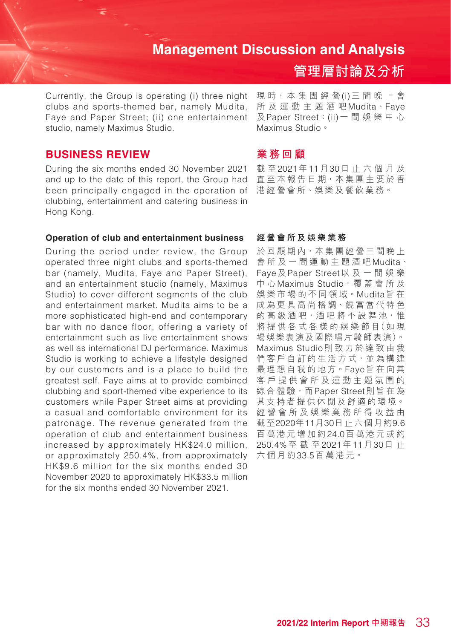Currently, the Group is operating (i) three night clubs and sports-themed bar, namely Mudita, Faye and Paper Street; (ii) one entertainment studio, namely Maximus Studio.

#### **BUSINESS REVIEW**

During the six months ended 30 November 2021 and up to the date of this report, the Group had been principally engaged in the operation of 港經營會所、娛樂及餐飲業務。 clubbing, entertainment and catering business in Hong Kong.

#### **Operation of club and entertainment business**

During the period under review, the Group operated three night clubs and sports-themed bar (namely, Mudita, Faye and Paper Street), and an entertainment studio (namely, Maximus Studio) to cover different segments of the club and entertainment market. Mudita aims to be a more sophisticated high-end and contemporary bar with no dance floor, offering a variety of entertainment such as live entertainment shows as well as international DJ performance. Maximus Studio is working to achieve a lifestyle designed by our customers and is a place to build the greatest self. Faye aims at to provide combined clubbing and sport-themed vibe experience to its customers while Paper Street aims at providing a casual and comfortable environment for its patronage. The revenue generated from the operation of club and entertainment business increased by approximately HK\$24.0 million, or approximately 250.4%, from approximately HK\$9.6 million for the six months ended 30 November 2020 to approximately HK\$33.5 million for the six months ended 30 November 2021.

現 時,本 集 團 經 營(i)三間晚上會 所及運動主題酒吧Mudita、Faye 及Paper Street;(ii)一間娛樂中心 Maximus Studio。

**管理層討論及分析**

#### **業務回顧**

截 至2021年11月30日止六個月及 直至本報告日期,本集團主要於香

#### **經營會所及娛樂業務**

於回顧期內,本集團經營三間晚上 會所及一間運動主題酒吧Mudita、 Faye及Paper Street以及一間娛樂 中心Maximus Studio,覆蓋會所及 娛 樂 市 場 的 不 同 領 域。Mudita旨 在 成為更具高尚格調、饒富當代特色 的高級酒吧,酒吧將不設舞池,惟 將 提 供 各 式 各 樣 的 娛 樂 節 目(如 現 場娛樂表演及國際唱片騎師表演)。 Maximus Studio則致力於達致由我 們客戶自訂的生活方式,並為構建 最理想自我的地方。Faye旨在向其 客戶提供會所及運動主題氛圍的 綜合體驗,而Paper Street則旨在為 其支持者提供休閒及舒適的環境。 經營會所及娛樂業務所得收益由 截至2020年11月30日止六個月約9.6 百萬港元增加約24.0百萬港元或約 250.4%至截至2021年11月30日 止 六個月約33.5百萬港元。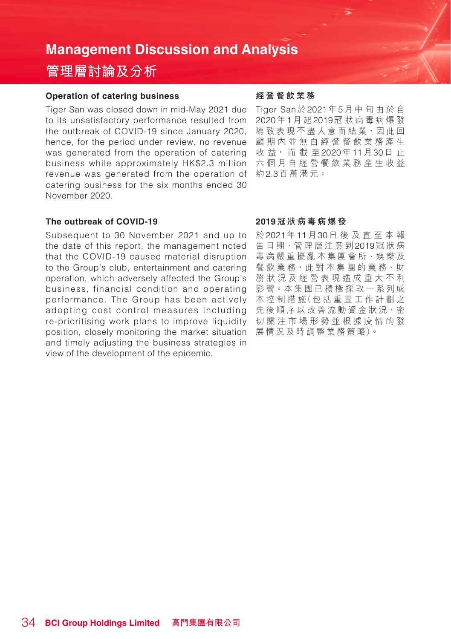## **管理層討論及分析**

#### **Operation of catering business**

Tiger San was closed down in mid-May 2021 due to its unsatisfactory performance resulted from the outbreak of COVID-19 since January 2020, hence, for the period under review, no revenue was generated from the operation of catering business while approximately HK\$2.3 million revenue was generated from the operation of catering business for the six months ended 30 November 2020.

#### **The outbreak of COVID-19**

position, closely monitoring the market situation 展情況及時調整業務策略)。 Subsequent to 30 November 2021 and up to the date of this report, the management noted that the COVID-19 caused material disruption to the Group's club, entertainment and catering operation, which adversely affected the Group's business, financial condition and operating performance. The Group has been actively adopting cost control measures including re-prioritising work plans to improve liquidity and timely adjusting the business strategies in view of the development of the epidemic.

#### **經營餐飲業務**

Tiger San於2021年5月中旬由於自 2020年1月 起2019冠狀病毒病爆發 導致表現不盡人意而結業,因此回 顧期內並無自經營餐飲業務產生 收 益, 而 截 至2020年11月30日 止 六個月自經營餐飲業務產生收益 約2.3百萬港元。

#### **2019冠狀病毒病爆發**

於2021年11月30日後及直至本報 告日期,管理層注意到2019冠狀病 毒病嚴重擾亂本集團會所、娛樂及 餐 飲 業 務,此 對 本 集 團 的 業 務、財 務狀況及經營表現造成重大不利 影響。本集團已積極採取一系列成 本 控 制 措 施(包 括 重 置 工 作 計 劃 之 先後順序以改善流動資金狀況、密 切關注市場形勢並根據疫情的發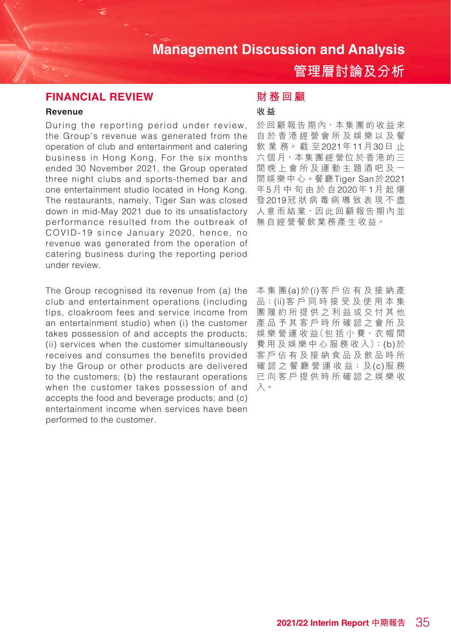**管理層討論及分析**

#### **FINANCIAL REVIEW**

#### **Revenue**

During the reporting period under review, the Group's revenue was generated from the operation of club and entertainment and catering business in Hong Kong. For the six months ended 30 November 2021, the Group operated three night clubs and sports-themed bar and one entertainment studio located in Hong Kong. The restaurants, namely, Tiger San was closed down in mid-May 2021 due to its unsatisfactory performance resulted from the outbreak of COVID-19 since January 2020, hence, no revenue was generated from the operation of catering business during the reporting period under review.

The Group recognised its revenue from (a) the club and entertainment operations (including tips, cloakroom fees and service income from an entertainment studio) when (i) the customer takes possession of and accepts the products; (ii) services when the customer simultaneously receives and consumes the benefits provided by the Group or other products are delivered to the customers; (b) the restaurant operations when the customer takes possession of and accepts the food and beverage products; and (c) entertainment income when services have been performed to the customer.

#### **財務回顧**

#### **收 益**

於回顧報告期內,本集團的收益來 自於香港經營會所及娛樂以及餐 飲 業 務。 截 至2021年11月30日 止 六個月,本集團經營位於香港的三 間晚上會所及運動主題酒吧及一 間娛樂中心。餐廳Tiger San於2021 年5月中旬由於自2020年1月起爆 發2019冠狀病毒病導致表現不盡 人意而結業,因此回顧報告期內並 無自經營餐飲業務產生收益。

本集團(a)於(i)客戶佔有及接納產 品;(ii)客戶同時接受及使用本集 團履約所提供之利益或交付其他 產品予其客戶時所確認之會所及 娛 樂 營 運 收 益(包 括 小 費、衣 帽 間 費 用 及 娛 樂 中 心 服 務 收 入);(b)於 客戶佔有及接納食品及飲品時所 確認之 餐廳 營 運 收 益;及(c)服 務 已向客戶提供時所確認之娛樂收 入。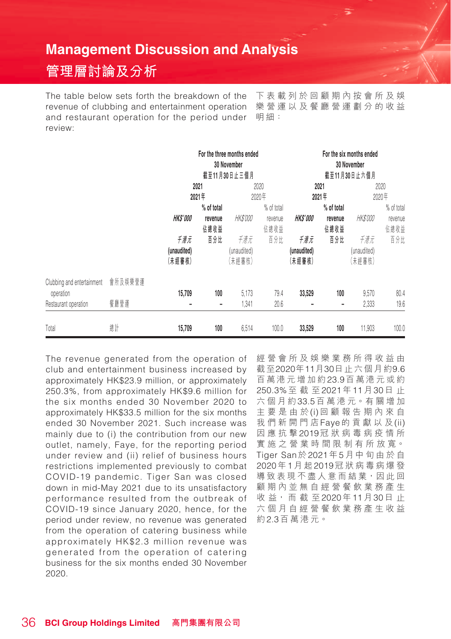## **管理層討論及分析**

The table below sets forth the breakdown of the revenue of clubbing and entertainment operation and restaurant operation for the period under review:

下表載列於回顧期內按會所及娛 樂營運以及餐廳營運劃分的收益 明細:

|                                                                         |      | For the three months ended<br>30 November<br>截至11月30日止三個月<br>2021<br>2020<br>2021年<br>2020年 |                                      | For the six months ended<br>30 November<br>截至11月30日止六個月<br>2021<br>2021年 |                                      | 2020<br>2020年                        |                                      |                                       |                                      |
|-------------------------------------------------------------------------|------|---------------------------------------------------------------------------------------------|--------------------------------------|--------------------------------------------------------------------------|--------------------------------------|--------------------------------------|--------------------------------------|---------------------------------------|--------------------------------------|
|                                                                         |      | <b>HKS'000</b><br>千港元<br>(unaudited)                                                        | % of total<br>revenue<br>佔總收益<br>百分比 | <i>HK\$'000</i><br>千港元<br>(unaudited)                                    | % of total<br>revenue<br>佔總收益<br>百分比 | <b>HKS'000</b><br>千港元<br>(unaudited) | % of total<br>revenue<br>佔總收益<br>百分比 | <b>HK\$'000</b><br>千港元<br>(unaudited) | % of total<br>revenue<br>佔總收益<br>百分比 |
| Clubbing and entertainment 會所及娛樂營運<br>operation<br>Restaurant operation | 餐廳營運 | (未經審核)<br>15,709                                                                            | 100<br>$\qquad \qquad \blacksquare$  | (未經審核)<br>5,173<br>1,341                                                 | 79.4<br>20.6                         | (未經審核)<br>33,529                     | 100<br>-                             | (未經審核)<br>9,570<br>2,333              | 80.4<br>19.6                         |
| Total                                                                   | 總計   | 15,709                                                                                      | 100                                  | 6,514                                                                    | 100.0                                | 33,529                               | 100                                  | 11,903                                | 100.0                                |

The revenue generated from the operation of club and entertainment business increased by approximately HK\$23.9 million, or approximately 250.3%, from approximately HK\$9.6 million for the six months ended 30 November 2020 to approximately HK\$33.5 million for the six months ended 30 November 2021. Such increase was mainly due to (i) the contribution from our new outlet, namely, Faye, for the reporting period under review and (ii) relief of business hours restrictions implemented previously to combat COVID-19 pandemic. Tiger San was closed down in mid-May 2021 due to its unsatisfactory performance resulted from the outbreak of COVID-19 since January 2020, hence, for the period under review, no revenue was generated from the operation of catering business while approximately HK\$2.3 million revenue was generated from the operation of catering business for the six months ended 30 November 2020.

經營會所及娛樂業務所得收益由 截至2020年11月30日止六個月約9.6 百萬港元增加約23.9百萬港元或約 250.3%至截至2021年11月30日 止 六個月約33.5百 萬 港 元。有 關 增 加 主要是由於(i)回顧報告期內來自 我們新開門店Faye的貢獻以及(ii) 因應抗擊2019冠狀病毒病疫情所 實 施 之 營 業 時 間 限 制 有 所 放 寬。 Tiger San於2021年5月中旬由於自 2020年1月 起2019冠狀病毒病爆發 導致表現不盡人意而結業,因此回 顧期內並無自經營餐飲業務產生 收 益, 而 截 至2020年11月30日 止 六個月自經營餐飲業務產生收益 約2.3百萬港元。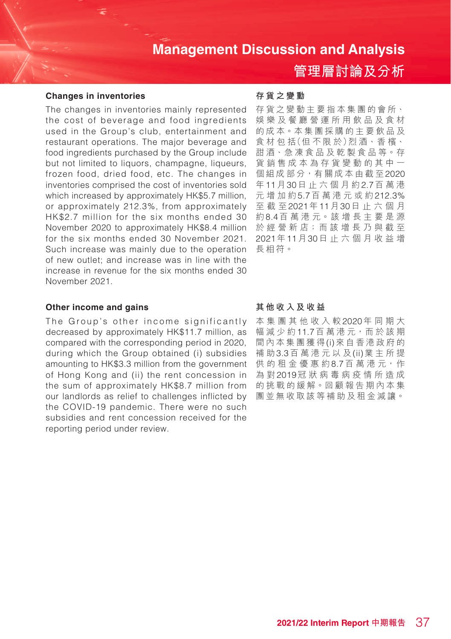## **管理層討論及分析**

#### **Changes in inventories**

The changes in inventories mainly represented the cost of beverage and food ingredients used in the Group's club, entertainment and restaurant operations. The major beverage and food ingredients purchased by the Group include but not limited to liquors, champagne, liqueurs, frozen food, dried food, etc. The changes in inventories comprised the cost of inventories sold which increased by approximately HK\$5.7 million, or approximately 212.3%, from approximately HK\$2.7 million for the six months ended 30 November 2020 to approximately HK\$8.4 million for the six months ended 30 November 2021. Such increase was mainly due to the operation of new outlet; and increase was in line with the increase in revenue for the six months ended 30 November 2021.

#### **Other income and gains**

The Group's other income significantly decreased by approximately HK\$11.7 million, as compared with the corresponding period in 2020, during which the Group obtained (i) subsidies amounting to HK\$3.3 million from the government of Hong Kong and (ii) the rent concession in the sum of approximately HK\$8.7 million from our landlords as relief to challenges inflicted by the COVID-19 pandemic. There were no such subsidies and rent concession received for the reporting period under review.

#### **存貨之變動**

存貨之變動主要指本集團的會所、 娛樂及餐廳營運所用飲品及食材 的成本。本集團採購的主要飲品及 食 材 包 括(但 不 限 於)烈 酒、香 檳、 甜酒、急凍食品及乾製食品等。存 貨銷售成本為存貨變動的其中一 個組成部分,有關成本由截至2020 年11月30日止六個月約2.7百萬港 元 增加約5.7百萬港元或約212.3% 至截至2021年11月30日止六個月 約8.4百 萬 港 元。該 增 長 主 要 是 源 於 經 營 新 店;而 該 增 長 乃 與 截 至 2021年11月30日止六個月收益增 長相符。

#### **其他收入及收益**

本集團其他收入較2020年同期大 幅減少約11.7百 萬 港 元,而 於 該 期 間內本集團獲得(i)來自香港政府的 補 助3.3百萬港元以及(ii)業主所提 供的租金優惠約8.7百萬港元,作 為 對2019冠狀病毒病疫情所造成 的挑戰的緩解。回顧報告期內本集 團並無收取該等補助及 租金減讓。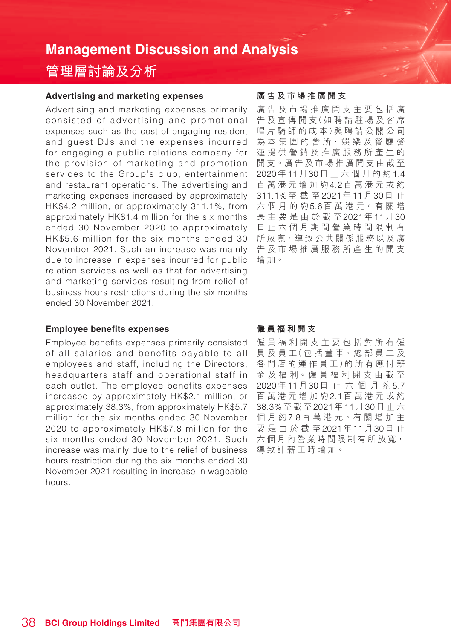# **管理層討論及分析**

#### **Advertising and marketing expenses**

Advertising and marketing expenses primarily consisted of advertising and promotional expenses such as the cost of engaging resident and guest DJs and the expenses incurred for engaging a public relations company for the provision of marketing and promotion services to the Group's club, entertainment and restaurant operations. The advertising and marketing expenses increased by approximately HK\$4.2 million, or approximately 311.1%, from approximately HK\$1.4 million for the six months ended 30 November 2020 to approximately HK\$5.6 million for the six months ended 30 November 2021. Such an increase was mainly due to increase in expenses incurred for public relation services as well as that for advertising and marketing services resulting from relief of business hours restrictions during the six months ended 30 November 2021.

## **Employee benefits expenses**

Employee benefits expenses primarily consisted of all salaries and benefits payable to all employees and staff, including the Directors, headquarters staff and operational staff in each outlet. The employee benefits expenses increased by approximately HK\$2.1 million, or approximately 38.3%, from approximately HK\$5.7 million for the six months ended 30 November 2020 to approximately HK\$7.8 million for the six months ended 30 November 2021. Such increase was mainly due to the relief of business hours restriction during the six months ended 30 November 2021 resulting in increase in wageable hours.

#### **廣告及市場推廣開支**

廣告及市場推廣開支主要包括廣 告 及 宣 傳 開 支(如 聘 請 駐 場 及 客 席 唱 片 騎 師 的 成 本)與 聘 請 公 關 公 司 為 本 集 團 的 會 所、娛 樂 及 餐 廳 營 運提供營銷及推廣服務所產生的 開支。廣告及市場推廣開支由截至 2020年11月30日止六個月的約1.4 百萬港元增加約4.2百萬港元或約 311.1%至截至2021年11月30日 止 六個月的約5.6百 萬 港 元。有 關 增 長主要是由於截至2021年11月30 日止六個月期間營業時間限制有 所放寬,導致公共關係服務以及廣 告及市場推廣服務所產生的開支 增加。

#### **僱員福利開支**

僱員福利開支主要包括對所有僱 員 及 員 工(包 括 董 事、總 部 員 工 及 各 門 店 的 運 作 員 工)的 所 有 應 付 薪 金及福利。僱員福利開支由截至 2020年11月30日止六個月約5.7 百萬港 元 增加約2.1百萬港元或約 38.3%至截至2021年11月30日止六 個月約7.8百 萬 港 元。有 關 增 加 主 要是由於截至2021年11月30日 止 六個月內營業時間限制有所放寬, 導致計薪工時增加。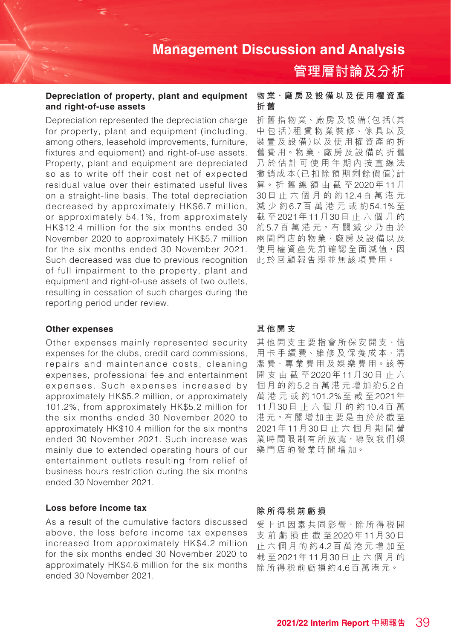#### **Depreciation of property, plant and equipment and right-of-use assets**

Depreciation represented the depreciation charge for property, plant and equipment (including, among others, leasehold improvements, furniture, fixtures and equipment) and right-of-use assets. Property, plant and equipment are depreciated so as to write off their cost net of expected residual value over their estimated useful lives on a straight-line basis. The total depreciation decreased by approximately HK\$6.7 million, or approximately 54.1%, from approximately HK\$12.4 million for the six months ended 30 November 2020 to approximately HK\$5.7 million for the six months ended 30 November 2021. Such decreased was due to previous recognition of full impairment to the property, plant and equipment and right-of-use assets of two outlets, resulting in cessation of such charges during the reporting period under review.

#### **Other expenses**

Other expenses mainly represented security expenses for the clubs, credit card commissions, repairs and maintenance costs, cleaning expenses, professional fee and entertainment expenses. Such expenses increased by approximately HK\$5.2 million, or approximately 101.2%, from approximately HK\$5.2 million for the six months ended 30 November 2020 to approximately HK\$10.4 million for the six months ended 30 November 2021. Such increase was mainly due to extended operating hours of our entertainment outlets resulting from relief of business hours restriction during the six months ended 30 November 2021.

#### **Loss before income tax**

As a result of the cumulative factors discussed above, the loss before income tax expenses increased from approximately HK\$4.2 million for the six months ended 30 November 2020 to approximately HK\$4.6 million for the six months ended 30 November 2021.

#### **物業、廠房及設備以及使用權資產 折 舊**

**管理層討論及分析**

折 舊 指 物 業、廠 房 及 設 備(包 括(其 中 包 括)租 賃 物 業 裝 修、傢 具 以 及 装置及設備)以及使用權資產的折 舊 費 用。物 業、廠 房 及 設 備 的 折 舊 乃於估計可使用年期內按直線法 撇 銷 成 本(已 扣 除 預 期 剩 餘 價 值)計 算。 折 舊 總 額 由 截 至2020年11月 30日止六個月的約12.4百萬港元 減少約6.7百萬港元或約54.1%至 截 至2021年11月30日止六個月的 約5.7百 萬 港 元。有 關 減 少 乃 由 於 兩間門店的物業、廠房及設備以及 使用權資產先前確認全面減值,因 此於回顧報告期並無該項費用。

#### **其他開支**

其他開支主要指會所保安開支、信 用 卡 手 續 費、維 修 及 保 養 成 本、清 潔 費、專 業 費 用 及 娛 樂 費 用。該 等 開支由截至2020年11月30日止六 個月的約5.2百萬港 元 增加約5.2百 萬港元或約101.2%至截至2021年 11月30日止六個月的約10.4百 萬 港元。有關增加主要是由於於截至 2021年11月30日止六個月期間營 業時間限制有所放寬,導致我們娛 樂門店的營業時間增加。

#### **除所得稅前虧損**

受上述因素共同影響,除所得稅開 支前虧損由截至2020年11月30日 止六個月的約4.2百萬港元增加至 截 至2021年11月30日止六個月的 除所得稅前虧損約4.6百萬港元。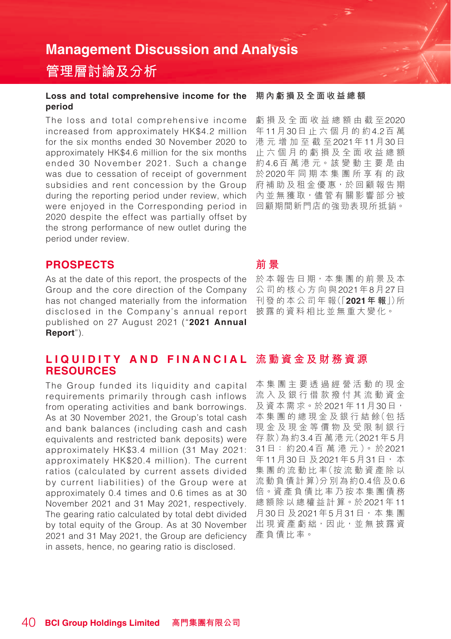## **管理層討論及分析**

#### **Loss and total comprehensive income for the period**

The loss and total comprehensive income increased from approximately HK\$4.2 million for the six months ended 30 November 2020 to approximately HK\$4.6 million for the six months ended 30 November 2021. Such a change was due to cessation of receipt of government subsidies and rent concession by the Group during the reporting period under review, which were enjoyed in the Corresponding period in 2020 despite the effect was partially offset by the strong performance of new outlet during the period under review.

#### **PROSPECTS**

As at the date of this report, the prospects of the Group and the core direction of the Company has not changed materially from the information disclosed in the Company's annual report published on 27 August 2021 ("**2021 Annual Report**").

#### LIQ U I D I T Y A N D FIN A N C I A L 流動資金及財務資源 **RESOURCES**

The Group funded its liquidity and capital requirements primarily through cash inflows from operating activities and bank borrowings. As at 30 November 2021, the Group's total cash and bank balances (including cash and cash equivalents and restricted bank deposits) were approximately HK\$3.4 million (31 May 2021: approximately HK\$20.4 million). The current ratios (calculated by current assets divided by current liabilities) of the Group were at approximately 0.4 times and 0.6 times as at 30 November 2021 and 31 May 2021, respectively. The gearing ratio calculated by total debt divided by total equity of the Group. As at 30 November 2021 and 31 May 2021, the Group are deficiency in assets, hence, no gearing ratio is disclosed.

#### **期內虧損及全面收益總額**

虧損及全面收益總額由截至2020 年11月30日止六個月的約4.2百 萬 港元增加至截至2021年11月30日 止六個月的虧損及全面收益總額 約4.6百 萬 港 元。該 變 動 主 要 是 由 於2020年同期本集團所享有的政 府補助及租金優惠,於回顧報告期 內並無獲取,儘管有關影響部分被 回顧期間新門店的強勁表現所抵銷。

#### **前 景**

於本報告日期,本集團的前景及本 公司的核心方向與2021年8月27日 刊 發 的 本 公 司 年 報(「**2021年 報**」)所 披露的資料相比並無重大變化。

本集團主要透過經營活動的現金 流入及銀行借款撥付其流動資金 及資本需求。於2021年11月30日, 本 集 團 的 總 現 金 及 銀 行 結 餘(包 括 現金及現金等價物及受限制銀行 存 款)為 約3.4百 萬 港 元(2021年5月 31日: 約20.4百 萬 港 元 )。 於2021 年11月30日 及2021年5月31日, 本 集 團 的 流 動 比 率(按 流 動 資 產 除 以 流 動 負 債 計 算)分 別 為 約0.4倍 及0.6 倍。資產負債比率乃按本集團債務 總額除以總權益計算。於2021年11 月30日 及2021年5月31日,本 集 團 出 現 資 產 虧 絀, 因 此, 並 無 披 露 資 產負債比率。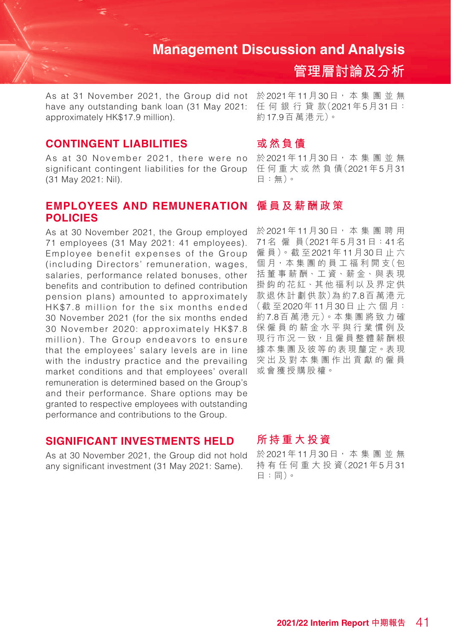As at 31 November 2021, the Group did not have any outstanding bank loan (31 May 2021: approximately HK\$17.9 million).

#### **CONTINGENT LIABILITIES**

As at 30 November 2021, there were no significant contingent liabilities for the Group (31 May 2021: Nil).

#### **EMPLOYEES AND REMUNERATION POLICIES**

As at 30 November 2021, the Group employed 71 employees (31 May 2021: 41 employees). Employee benefit expenses of the Group (including Directors' remuneration, wages, salaries, performance related bonuses, other benefits and contribution to defined contribution pension plans) amounted to approximately HK\$7.8 million for the six months ended 30 November 2021 (for the six months ended 30 November 2020: approximately HK\$7.8 million). The Group endeavors to ensure that the employees' salary levels are in line with the industry practice and the prevailing market conditions and that employees' overall remuneration is determined based on the Group's and their performance. Share options may be granted to respective employees with outstanding performance and contributions to the Group.

#### **SIGNIFICANT INVESTMENTS HELD**

As at 30 November 2021, the Group did not hold any significant investment (31 May 2021: Same).

於2021年11月30日, 本 集 團 並 無 任 何 銀 行 貸 款(2021年5月31日: 約17.9百 萬 港 元)。

**管理層討論及分析**

#### **或然負債**

於2021年11月30日, 本 集 團 並 無 任 何 重 大 或 然 負 債(2021年5月31 日:無)。

#### **僱員及薪酬政策**

於2021年11月30日, 本 集 團 聘 用 71名 僱 員(2021年5月31日:41名 僱 員)。截 至2021年11月30日止六 個月,本集團的員工福利開支(包 括 董 事 薪 酬、工 資、薪 金、與 表 現 掛鈎的花紅、其他福利以及界定供 款 退 休 計 劃 供 款 )為 約 7.8百 萬 港 元 (截至2020年11月30日 止 六 個 月: 約7.8百 萬 港 元)。本 集 團 將 致 力 確 保僱員的薪金水平與行業慣例及 現行市況一致,且僱員整體薪酬根 據本集團及彼等的表現釐定。表現 突出及對本集團作出貢獻的僱員 或會獲授購股權。

#### **所持重大投資**

於2021年11月30日, 本 集 團 並 無 持有任何重大投資(2021年5月31 日:同)。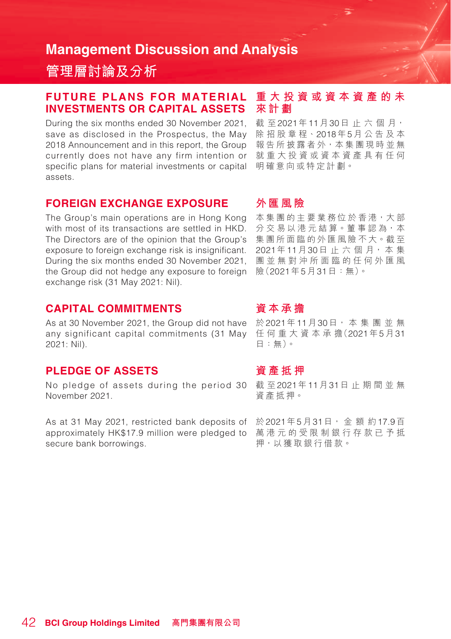**管理層討論及分析**

#### **FUTURE PLANS FOR MATERIAL INVESTMENTS OR CAPITAL ASSETS**

During the six months ended 30 November 2021, save as disclosed in the Prospectus, the May 2018 Announcement and in this report, the Group currently does not have any firm intention or specific plans for material investments or capital assets.

#### **FOREIGN EXCHANGE EXPOSURE**

The Group's main operations are in Hong Kong with most of its transactions are settled in HKD. The Directors are of the opinion that the Group's exposure to foreign exchange risk is insignificant. During the six months ended 30 November 2021, the Group did not hedge any exposure to foreign exchange risk (31 May 2021: Nil).

#### **CAPITAL COMMITMENTS**

As at 30 November 2021, the Group did not have 於2021年11月30日<sup>,</sup> 本 集 團 並 無 any significant capital commitments (31 May 2021: Nil).

#### **PLEDGE OF ASSETS**

No pledge of assets during the period 30 November 2021.

As at 31 May 2021, restricted bank deposits of approximately HK\$17.9 million were pledged to secure bank borrowings.

#### **重大投資或資本資產的未 來計劃**

截 至2021年11月30日 止 六 個 月, 除 招 股 章 程、2018年5月公告及本 報告所披露者外,本集團現時並無 就重大投資或資本資產具有任何 明確意向或特定計劃。

#### **外匯風險**

本集團的主要業務位於香港,大部 分交易以港元結算。董事認為,本 集團所面臨的外匯風險不大。截至 2021年11月30日 止 六 個 月, 本 集 團並無對沖所面臨的任何外匯風 險(2021年5月31日:無)。

#### **資 本 承 擔**

任何重大 資 本 承 擔(2021年5月31 日:無)。

#### **資產抵押**

截 至2021年11月31日止期間並無 資產抵押。

於2021年5月31日, 金 額 約17.9百 萬港元的受限制銀行存款已予抵 押,以獲取銀行借款。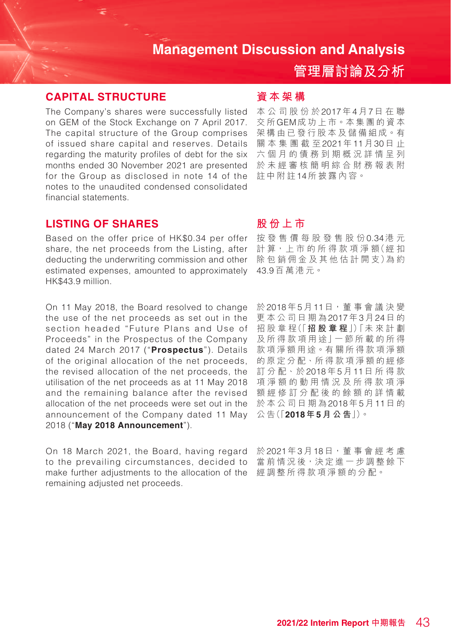## **管理層討論及分析**

## **CAPITAL STRUCTURE**

The Company's shares were successfully listed on GEM of the Stock Exchange on 7 April 2017. The capital structure of the Group comprises of issued share capital and reserves. Details regarding the maturity profiles of debt for the six months ended 30 November 2021 are presented for the Group as disclosed in note 14 of the notes to the unaudited condensed consolidated financial statements.

#### **LISTING OF SHARES**

Based on the offer price of HK\$0.34 per offer share, the net proceeds from the Listing, after deducting the underwriting commission and other estimated expenses, amounted to approximately HK\$43.9 million.

On 11 May 2018, the Board resolved to change the use of the net proceeds as set out in the section headed "Future Plans and Use of Proceeds" in the Prospectus of the Company dated 24 March 2017 ("**Prospectus**"). Details of the original allocation of the net proceeds, the revised allocation of the net proceeds, the utilisation of the net proceeds as at 11 May 2018 and the remaining balance after the revised allocation of the net proceeds were set out in the announcement of the Company dated 11 May 2018 ("**May 2018 Announcement**").

On 18 March 2021, the Board, having regard to the prevailing circumstances, decided to make further adjustments to the allocation of the remaining adjusted net proceeds.

### **資本架構**

本公司股份於2017年4月7日在聯 交 所GEM成功上市。本集團的資本 架構由已發行股本及儲備組成。有 關本集團截至2021年11月30日 止 六個月的債務到期概況詳情呈列 於未經審核簡明綜合財務報表附 註中附註14所披露內容。

#### **股份上市**

按發售價每股發售股份0.34港 元 計算,上市的所得款項淨額(經扣 除 包 銷 佣 金 及 其 他 估 計 開 支)為 約 43.9百萬港元。

於2018年5月11日,董 事 會 議 決 變 更本公司日期為2017年3月24日 的 招 股 章 程(「**招股章程**」)「未 來 計 劃 及 所 得 款 項 用 途」一 節 所 載 的 所 得 款項淨額用途。有關所得款項淨額 的原定分配、所得款項淨額的經修 訂 分 配、於2018年5月11日所得款 項淨額的動用情況及所得款項淨 額經修訂分配後的餘額的詳情載 於本公司日期為2018年5月11日 的 公 告(「**2018年5月公告**」)。

於2021年3月18日,董 事 會 經 考 慮 當前情況後,決定進一步調整餘下 經調整所得款項淨額的分配。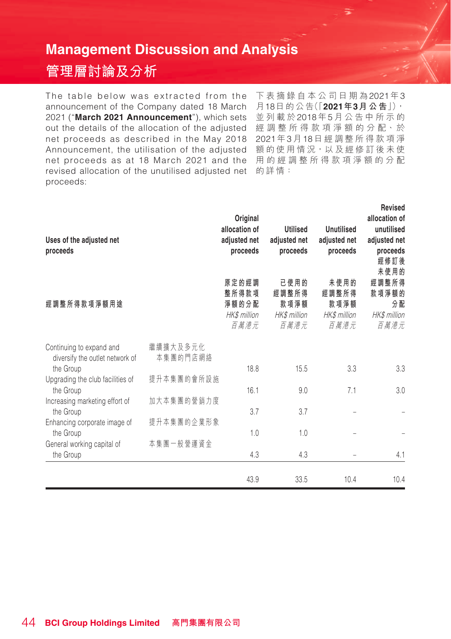# **管理層討論及分析**

net proceeds as described in the May 2018 2021年3月18日經調整所得款項淨 Announcement, the utilisation of the adjusted 額的使用情況 · 以及經修訂後未使 net proceeds as at 18 March 2021 and the 用 的 經 調 整 所 得 款 項 淨 額 的 分 配 revised allocation of the unutilised adjusted net 的詳情: The table below was extracted from the announcement of the Company dated 18 March 2021 ("**March 2021 Announcement**"), which sets out the details of the allocation of the adjusted proceeds:

下表摘錄自本公司 日期為2021年3 月18日的公告(「**2021年3月公告**」), 並列載於2018年5月公告中所示的 經 調 整 所 得 款 項 淨 額 的 分 配、於

| Uses of the adjusted net<br>proceeds                        |                      | Original<br>allocation of<br>adjusted net<br>proceeds | <b>Utilised</b><br>adjusted net<br>proceeds   | Unutilised<br>adjusted net<br>proceeds        | Revised<br>allocation of<br>unutilised<br>adjusted net<br>proceeds<br>經修訂後<br>未使用的 |
|-------------------------------------------------------------|----------------------|-------------------------------------------------------|-----------------------------------------------|-----------------------------------------------|------------------------------------------------------------------------------------|
| 經調整所得款項淨額用途                                                 |                      | 原定的經調<br>整所得款項<br>淨額的分配<br>HK\$ million<br>百萬港元       | 已使用的<br>經調整所得<br>款項淨額<br>HK\$ million<br>百萬港元 | 未使用的<br>經調整所得<br>款項淨額<br>HK\$ million<br>百萬港元 | 經調整所得<br>款項淨額的<br>分配<br>HK\$ million<br>百萬港元                                       |
| Continuing to expand and<br>diversify the outlet network of | 繼續擴大及多元化<br>本集團的門店網絡 |                                                       |                                               |                                               |                                                                                    |
| the Group<br>Upgrading the club facilities of               | 提升本集團的會所設施           | 18.8                                                  | 15.5                                          | 3.3                                           | 3.3                                                                                |
| the Group                                                   |                      | 16.1                                                  | 9.0                                           | 7.1                                           | 3.0                                                                                |
| Increasing marketing effort of<br>the Group                 | 加大本集團的營銷力度           | 3.7                                                   | 3.7                                           |                                               |                                                                                    |
| Enhancing corporate image of<br>the Group                   | 提升本集團的企業形象           | 1.0                                                   | 1.0                                           |                                               |                                                                                    |
| General working capital of<br>the Group                     | 本集團一般營運資金            | 4.3                                                   | 4.3                                           |                                               | 4.1                                                                                |
|                                                             |                      | 43.9                                                  | 33.5                                          | 10.4                                          | 10.4                                                                               |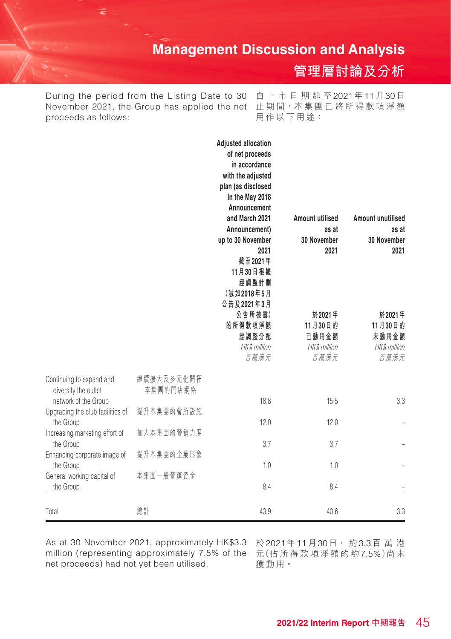**管理層討論及分析**

November 2021, the Group has applied the net 止期間<sup>,</sup>本集團已將所得款項淨額 During the period from the Listing Date to 30 proceeds as follows:

自上市日期起至2021年11月30日 用作以下用途:

| Total                                                    | 總計                     | 43.9                                                             | 40.6                                               | 3.3                                                |
|----------------------------------------------------------|------------------------|------------------------------------------------------------------|----------------------------------------------------|----------------------------------------------------|
| the Group                                                |                        | 8.4                                                              | 8.4                                                |                                                    |
| the Group<br>General working capital of                  | 本集團一般營運資金              | 1.0                                                              | 1.0                                                |                                                    |
| the Group<br>Enhancing corporate image of                | 提升本集團的企業形象             | 3.7                                                              | 3.7                                                |                                                    |
| the Group<br>Increasing marketing effort of              | 加大本集團的營銷力度             | 12.0                                                             | 12.0                                               |                                                    |
| network of the Group<br>Upgrading the club facilities of | 提升本集團的會所設施             | 18.8                                                             | 15.5                                               | 3.3                                                |
| Continuing to expand and<br>diversify the outlet         | 繼續擴大及多元化開拓<br>本集團的門店網絡 |                                                                  |                                                    |                                                    |
|                                                          |                        | 公告及2021年3月<br>公告所披露)<br>的所得款項淨額<br>經調整分配<br>HK\$ million<br>百萬港元 | 於2021年<br>11月30日的<br>已動用金額<br>HK\$ million<br>百萬港元 | 於2021年<br>11月30日的<br>未動用金額<br>HK\$ million<br>百萬港元 |
|                                                          |                        | 截至2021年<br>11月30日根據<br>經調整計劃<br>(誠如2018年5月                       |                                                    |                                                    |
|                                                          |                        | up to 30 November<br>2021                                        | 30 November<br>2021                                | 30 November<br>2021                                |
|                                                          |                        | Announcement<br>and March 2021<br>Announcement)                  | Amount utilised<br>as at                           | <b>Amount unutilised</b><br>as at                  |
|                                                          |                        | plan (as disclosed<br>in the May 2018                            |                                                    |                                                    |
|                                                          |                        | with the adjusted                                                |                                                    |                                                    |
|                                                          |                        | of net proceeds<br>in accordance                                 |                                                    |                                                    |
|                                                          |                        | <b>Adjusted allocation</b>                                       |                                                    |                                                    |

As at 30 November 2021, approximately HK\$3.3 於2021年11月30日,約3.3百 萬 港 million (representing approximately 7.5% of the 元(佔 所 得 款 項 淨 額 的 約7.5%)尚 未 net proceeds) had not yet been utilised.

獲 動 用。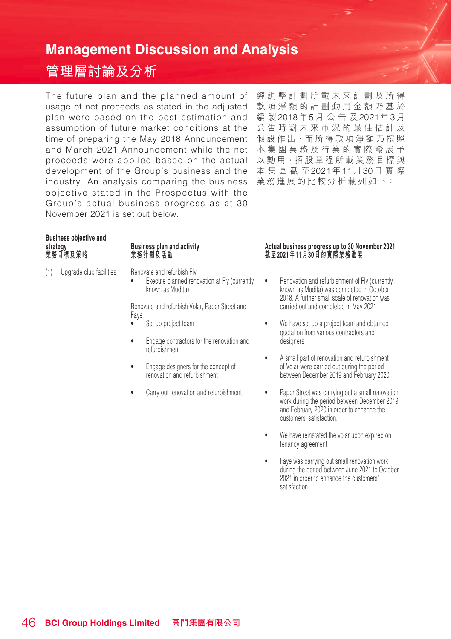# **管理層討論及分析**

The future plan and the planned amount of usage of net proceeds as stated in the adjusted 款項淨額的計劃動用金額乃基於 plan were based on the best estimation and 編 製2018年5月公告及2021年3月 assumption of future market conditions at the time of preparing the May 2018 Announcement 假設作出,而所得款項淨額乃按照 and March 2021 Announcement while the net 本集團業務及行業的實際發展予 proceeds were applied based on the actual 以動用。招股章程所載業務目標與 development of the Group's business and the 本集團截至2021年11月30日實際 industry. An analysis comparing the business 業務進展的比較分析載列如下:objective stated in the Prospectus with the Group's actual business progress as at 30 November 2021 is set out below:

經調整計劃所載未來計劃及所得 公告時對未來市況的最佳估計及

# **Business objective and**

(1) Upgrade club facilities Renovate and refurbish Fly

• Execute planned renovation at Fly (currently known as Mudita)

Renovate and refurbish Volar, Paper Street and Faye

- Set up project team
- Engage contractors for the renovation and refurbishment
- Engage designers for the concept of renovation and refurbishment
- Carry out renovation and refurbishment

#### **strategy Business plan and activity Actual business progress up to 30 November 2021 業務目標及策略 業務計劃及活動 截 至2021年11月30日的實際業務進展**

- Renovation and refurbishment of Fly (currently known as Mudita) was completed in October 2018. A further small scale of renovation was carried out and completed in May 2021.
- We have set up a project team and obtained quotation from various contractors and designers.
- A small part of renovation and refurbishment of Volar were carried out during the period between December 2019 and February 2020.
- Paper Street was carrying out a small renovation work during the period between December 2019 and February 2020 in order to enhance the customers' satisfaction.
- We have reinstated the volar upon expired on tenancy agreement.
- Faye was carrying out small renovation work during the period between June 2021 to October 2021 in order to enhance the customers' satisfaction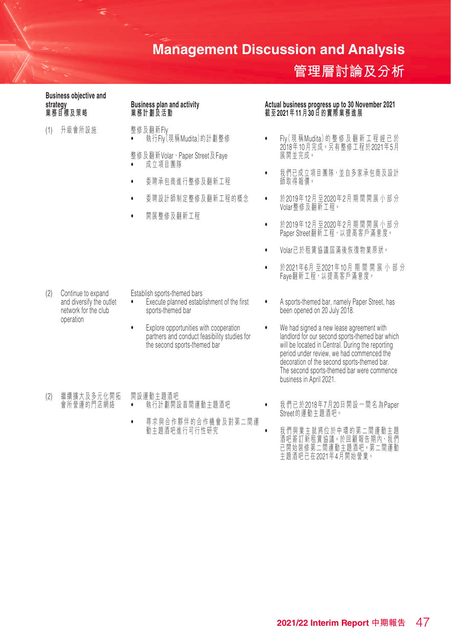## **管理層討論及分析**

**Business objective and** 

(1) 升級會所設施 整修及翻新Fly

- 執 行Fly(現稱Mudita)的 計 劃 整 修
- 整修及翻新Volar、Paper Street及Faye • 成立項目團隊
- 委聘承包商進行整修及翻新工程
- 委聘設計師制定整修及翻新工程的概念
- 開展整修及翻新工程

**strategy Business plan and activity Actual business progress up to 30 November 2021 業務目標及策略 業務計劃及活動 截 至2021年11月30日的實際業務進展**

- Fly(現稱Mudita)的 整 修 及 翻 新 工 程 經 已 於 2018年10月 完 成。另有整修工程於2021年5月 展開並完成。
- 孜们巳成立垻日圏隊 型日多豕承包間及設訂<br>- 師取得報價。
- 於2019年12月 至2020年2月 期 间 囲 展 小 部 ガ Volar整修及翻新工程。
- 於2019年12月 至2020年2月 期 间 囲 展 小 部 ガ Paper Street翻新工程,以提高客戶滿意度。
- Volar已於租賃協議屆滿後 恢 復 物 業原狀。
- 於2021年6月 至2021年10月期間開展小部分 Faye翻新工程,以提高客戶滿意度。

- (2) Continue to expand and diversify the outlet network for the club operation
- Establish sports-themed bars
- Execute planned establishment of the first sports-themed bar
- Explore opportunities with cooperation partners and conduct feasibility studies for the second sports-themed bar
- (2) 繼續擴大及多元化開拓 會所營運的門店網絡
	- 開設運動主題酒吧 • 執行計劃開設首間運動主題酒吧
		- 尋求與合作夥伴的合作機會及對第二間運 動主題酒吧進行可行性研究
- A sports-themed bar, namely Paper Street, has been opened on 20 July 2018.
- We had signed a new lease agreement with landlord for our second sports-themed bar which will be located in Central. During the reporting period under review, we had commenced the decoration of the second sports-themed bar. The second sports-themed bar were commence business in April 2021.
- 我們已於2018年7月20日開設一間名為Paper Street的運動主題酒吧。
	- 我們與業主就將位於中環的第二間運動主題 酒吧 僉 訂 利 伹 頁 肠 議 ° 於 凹 麒 揿 古 册 内 ' 孜 们 已開始裝修第二間運動主題酒吧。第二間運動 主題酒吧已在2021年4月開始營業。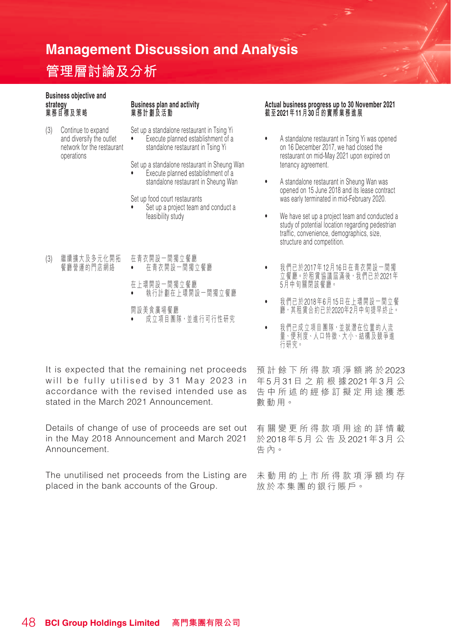# **管理層討論及分析**

# **Business objective and**

(3) Continue to expand and diversify the outlet network for the restaurant operations

Set up a standalone restaurant in Tsing Yi

• Execute planned establishment of a standalone restaurant in Tsing Yi

Set up a standalone restaurant in Sheung Wan<br>
Fxecute planned establishment of a • Execute planned establishment of a standalone restaurant in Sheung Wan

Set up food court restaurants

- Set up a project team and conduct a feasibility study
- (3) 繼續擴大及多元化開拓 餐廳營運的門店網絡 在青衣開設一間獨立餐廳 • 在青衣開設一間獨立餐廳
	- 在上環開設一間獨立餐廳 • 執行計劃在上環開設一間獨立餐廳
	- 開設美食廣場餐廳 成立項目團隊,並進行可行性研究

It is expected that the remaining net proceeds will be fully utilised by 31 May 2023 in accordance with the revised intended use as stated in the March 2021 Announcement.

Details of change of use of proceeds are set out in the May 2018 Announcement and March 2021 Announcement.

The unutilised net proceeds from the Listing are 未 動 用 的上市所得款項淨額均存 placed in the bank accounts of the Group.

#### **strategy Business plan and activity Actual business progress up to 30 November 2021 業務目標及策略 業務計劃及活動 截 至2021年11月30日的實際業務進展**

- A standalone restaurant in Tsing Yi was opened on 16 December 2017, we had closed the restaurant on mid-May 2021 upon expired on tenancy agreement.
- A standalone restaurant in Sheung Wan was opened on 15 June 2018 and its lease contract was early terminated in mid-February 2020.
- We have set up a project team and conducted a study of potential location regarding pedestrian traffic, convenience, demographics, size, structure and competition.
- 我們已於2017年12月16日在青衣開設一間獨 立餐廳。於租賃協議屆滿後,我們已於2021年 5月中旬關閉該餐廳。
- 我們已於2018年6月15日在上環開設一間立餐 廳,其租賃合約已於2020年2月中旬提早終止。
- 我們已成立項目團隊,並就潛在位置的人流 量、便利度、人口特徵、大小、結構及競爭進 行研究。

預計餘下所得款項淨額將於2023 年5月31日之前根據2021年3月 公 告中所述的經修訂擬定用途獲悉 數動用。

有關變更所得款項用途 的詳情載 於2018年5月公告及2021年3月 公 告內。

放於本集團的銀行賬戶。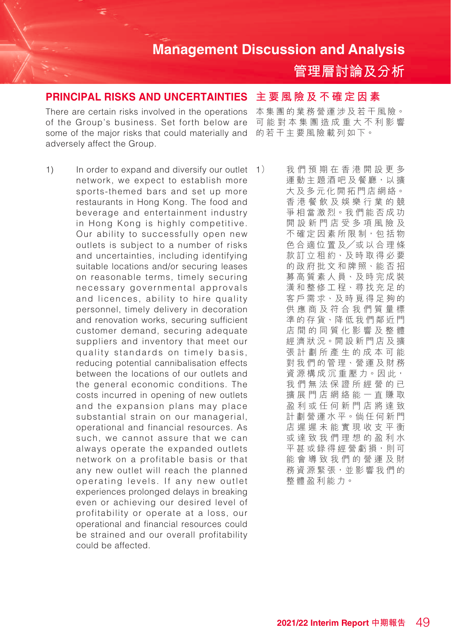**管理層討論及分析**

#### **PRINCIPAL RISKS AND UNCERTAINTIES**

There are certain risks involved in the operations of the Group's business. Set forth below are some of the major risks that could materially and adversely affect the Group.

1) In order to expand and diversify our outlet  $\rightarrow$  1) network, we expect to establish more sports-themed bars and set up more restaurants in Hong Kong. The food and beverage and entertainment industry in Hong Kong is highly competitive. Our ability to successfully open new outlets is subject to a number of risks and uncertainties, including identifying suitable locations and/or securing leases on reasonable terms, timely securing necessary governmental approvals and licences, ability to hire quality personnel, timely delivery in decoration and renovation works, securing sufficient customer demand, securing adequate suppliers and inventory that meet our quality standards on timely basis, reducing potential cannibalisation effects between the locations of our outlets and the general economic conditions. The costs incurred in opening of new outlets and the expansion plans may place substantial strain on our managerial, operational and financial resources. As such, we cannot assure that we can always operate the expanded outlets network on a profitable basis or that any new outlet will reach the planned operating levels. If any new outlet experiences prolonged delays in breaking even or achieving our desired level of profitability or operate at a loss, our operational and financial resources could be strained and our overall profitability could be affected.

#### **主要風險及不確定因素**

本集團的業務營運涉及若干風險。 可能對本集團造成重大不利影響 的若干主要風險載列如下。

我們預期在香港開設更多 運動主題酒吧及餐廳,以擴 大及多元化開拓門店網絡。 香港餐飲及娛樂行業的競 爭相當激烈。我們能否成功 開設新門店受多項風險及 不確定因素所限制,包括物 色合適位置及╱或以合理條 款訂立租約、及時取得必要 的政府批文和牌照、能否招 募高質素人員、及時完成裝 潢和整修工程、尋找充足的 客戶需求、及時覓得足夠的 供應商及符合我們質量標 準的存貨、降低我們鄰近門 店間的同質化 影 響及整體 經濟狀況。開設新門店及擴 張計劃所產生的成本可能 對我們的管理、營運及財務 資源構成沉重壓力。因此, 我們無法保證所經營的已 擴展門店網絡能一直賺取 盈利或任何新門店將達致 計劃營運水平。倘任何新門 店遲遲未能實現收支平衡 或達致我們理想的盈利水 平甚或錄得經營虧損,則可 能會導致我們的營運及財 務資源緊張,並影響我們的 整體盈利能力。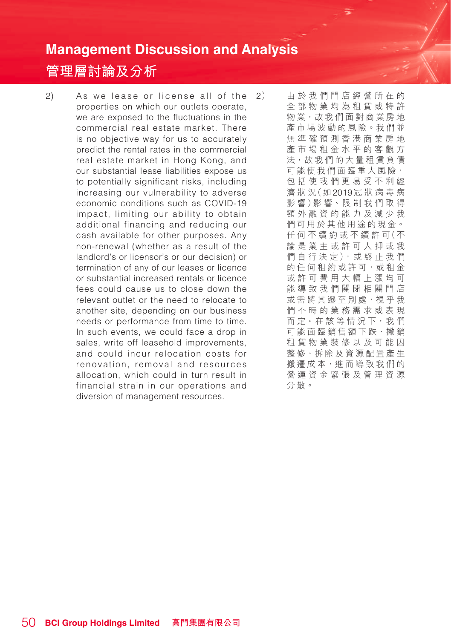## **管理層討論及分析**

 $2)$  As we lease or license all of the  $2)$ properties on which our outlets operate, we are exposed to the fluctuations in the commercial real estate market. There is no objective way for us to accurately predict the rental rates in the commercial real estate market in Hong Kong, and our substantial lease liabilities expose us to potentially significant risks, including increasing our vulnerability to adverse economic conditions such as COVID-19 impact, limiting our ability to obtain additional financing and reducing our cash available for other purposes. Any non-renewal (whether as a result of the landlord's or licensor's or our decision) or termination of any of our leases or licence or substantial increased rentals or licence fees could cause us to close down the relevant outlet or the need to relocate to another site, depending on our business needs or performance from time to time. In such events, we could face a drop in sales, write off leasehold improvements, and could incur relocation costs for renovation, removal and resources allocation, which could in turn result in financial strain in our operations and diversion of management resources.

2) 由於我們門店經營所在的 全部物業均為租賃或特許 物業,故我們面對商業房地 產市場波動的風險。我們並 無準確預測香港商業房地 產市場租金水平的客觀方 法,故我們的大量租賃負債 可能使我們面臨重大風險, 包括使我們更易受不利經 濟 狀 況(如2019冠狀病毒病 影 響)影 響、限 制 我 們 取 得 額外融資的能力及減少我 們可用於其他用途的現金。 任 何 不 續 約 或 不 續 許 可(不 論是業主或許可人抑或我 們 自 行 決 定 ),或 終 止 我 們 的任何租約或許可,或租金 或許可費用大幅上漲均可 能導致我們關閉相關門店 或需將其遷至別處,視乎我 們不時的業務需求或表現 而 定。在 該 等 情 況 下,我 們 可能面臨銷售額下跌、撇銷 租賃物業裝修以及可能因 整修、拆除及資源配置產生 搬遷成本,進而導致我們的 營運資金緊張及管理資源 分散。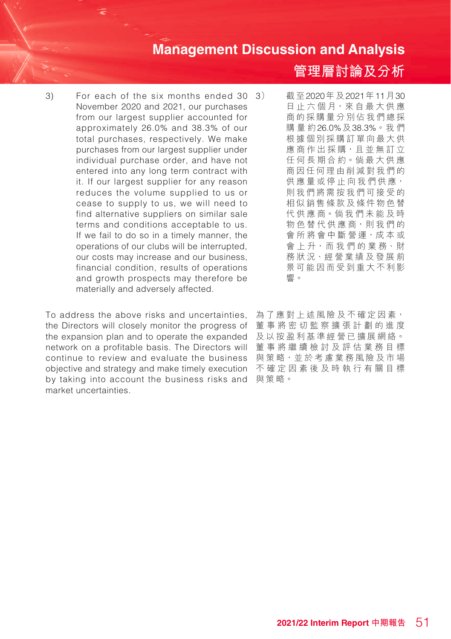3) For each of the six months ended 30 November 2020 and 2021, our purchases from our largest supplier accounted for approximately 26.0% and 38.3% of our total purchases, respectively. We make purchases from our largest supplier under individual purchase order, and have not entered into any long term contract with it. If our largest supplier for any reason reduces the volume supplied to us or cease to supply to us, we will need to find alternative suppliers on similar sale terms and conditions acceptable to us. If we fail to do so in a timely manner, the operations of our clubs will be interrupted, our costs may increase and our business, financial condition, results of operations and growth prospects may therefore be materially and adversely affected.

To address the above risks and uncertainties, the Directors will closely monitor the progress of the expansion plan and to operate the expanded network on a profitable basis. The Directors will continue to review and evaluate the business objective and strategy and make timely execution 不確定因素後及時執行有關目標 by taking into account the business risks and market uncertainties.

**管理層討論及分析**

截至2020年及2021年11月30 日 止 六 個 月, 來 自 最 大 供 應 商的採購量分別佔我們總採 購量約26.0%及38.3%。我們 根據個別採購訂單向最大供 應 商 作 出 採 購,且 並 無 訂 立 任 何 長 期 合 約。倘 最 大 供 應 商因任何理由削減對我們的 供 應 量 或 停 止 向 我 們 供 應, 則我們將需按我們可接受的 相似銷售條款及條件物色替 代 供 應 商。倘 我 們 未 能 及 時 物 色 替 代 供 應 商, 則 我 們 的 會 所 將 會 中 斷 營 運,成 本 或 會 上 升,而 我 們 的 業 務、財 務狀況、經營業績及發展前 景可能因而受到重大不利影 響。

為了應對上述風險及不確定因素, 董事將密切監察擴張計劃的進度 及以按盈利基準經營已擴展網絡。 董事將繼續檢討及評估業務目標 與策略,並於考慮業務風險及市場 與策略。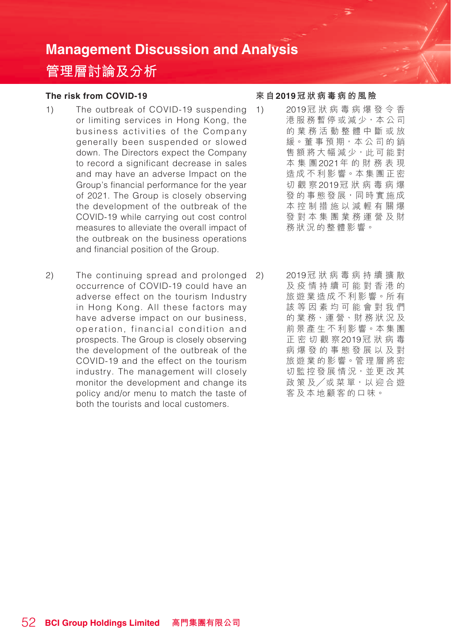# **管理層討論及分析**

#### **The risk from COVID-19**

- 1) The outbreak of COVID-19 suspending or limiting services in Hong Kong, the business activities of the Company generally been suspended or slowed down. The Directors expect the Company to record a significant decrease in sales and may have an adverse Impact on the Group's financial performance for the year of 2021. The Group is closely observing the development of the outbreak of the COVID-19 while carrying out cost control measures to alleviate the overall impact of the outbreak on the business operations and financial position of the Group.
- 2) The continuing spread and prolonged occurrence of COVID-19 could have an adverse effect on the tourism Industry in Hong Kong. All these factors may have adverse impact on our business, operation, financial condition and prospects. The Group is closely observing the development of the outbreak of the COVID-19 and the effect on the tourism industry. The management will closely monitor the development and change its policy and/or menu to match the taste of both the tourists and local customers.

#### **來 自2019冠狀病毒病的風險**

- 1) 2019冠狀病毒病爆發令香 港服務暫停或減少,本公司 的業務活動整體中斷或放 緩。董 事 預 期,本 公 司 的 銷 售額將大幅減少,此可能對 本集團2021年的財務表現 造成不利影響。本集團正密 切觀察2019冠狀病毒病爆 發的事態發展,同時實施成 本控制措施以減輕有關爆 發對本集團業務運營及財 務狀況的整體影響。
	- 2) 2019冠狀病毒病持續擴散 及疫情持續可能對香港的 旅遊業造成不利影響。所有 該等因素均可能會對我們 的 業 務、運 營、財 務 狀 況 及 前景產生不利影響。本集團 正密切觀察2019冠狀病毒 病爆發的事態發展以及對 旅遊業的影響。管理層將密 切監控發展情況,並更改其 政策 及/或菜單,以 迎合游 客及本地顧客的口味。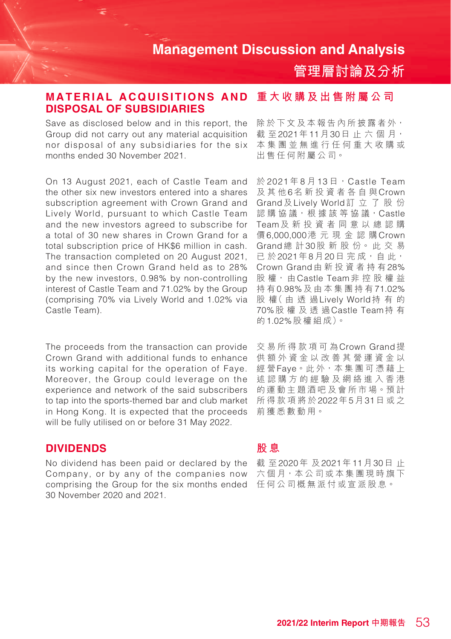**管理層討論及分析**

#### MATERIAL ACQUISITIONS AND 重大收購及出售附屬公司 **DISPOSAL OF SUBSIDIARIES**

Save as disclosed below and in this report, the Group did not carry out any material acquisition nor disposal of any subsidiaries for the six months ended 30 November 2021.

On 13 August 2021, each of Castle Team and the other six new investors entered into a shares subscription agreement with Crown Grand and Lively World, pursuant to which Castle Team and the new investors agreed to subscribe for a total of 30 new shares in Crown Grand for a total subscription price of HK\$6 million in cash. The transaction completed on 20 August 2021, and since then Crown Grand held as to 28% by the new investors, 0.98% by non-controlling interest of Castle Team and 71.02% by the Group (comprising 70% via Lively World and 1.02% via Castle Team).

The proceeds from the transaction can provide Crown Grand with additional funds to enhance its working capital for the operation of Faye. Moreover, the Group could leverage on the experience and network of the said subscribers to tap into the sports-themed bar and club market in Hong Kong. It is expected that the proceeds will be fully utilised on or before 31 May 2022.

#### **DIVIDENDS**

comprising the Group for the six months ended 任何公司概無派付或宣派股息。 No dividend has been paid or declared by the Company, or by any of the companies now 30 November 2020 and 2021.

除於下文及本報告內所披露者外, 截至2021年11月30日止六個月, 本集團並無進行任何重大收購或 出售任何附屬公司。

於 2021年8月13日, Castle Team 及其他6名新投資者各自與Crown Grand及Lively World訂立了股份 認 購 協 議, 根 據 該 等 協 議, Castle Team及新投資者同意以總認購 價6,000,000港元現金認購Crown Grand總 計30股 新 股 份。 此 交 易 已 於2021年8月20日 完 成,自 此, Crown Grand由新投資者持有28% 股 權, 由Castle Team非控股權益 持 有0.98%及由本集團持有71.02% 股 權( 由 透 過Lively World持有的 70%股權及透過Castle Team持 有 的1.02%股 權 組 成)。

交易所得款項可為Crown Grand提 供額外資金以改善其營運資金以 經 營Faye。此 外,本 集 團 可 憑 藉 上 述認購方的經驗及網絡進入香港 的運動主題酒吧及會所市場。預計 所得款項將於2022年5月31日或之 前獲悉數動用。

#### **股 息**

截 至2020年 及2021年11月30日 止 六個月,本公司或本集團現時旗下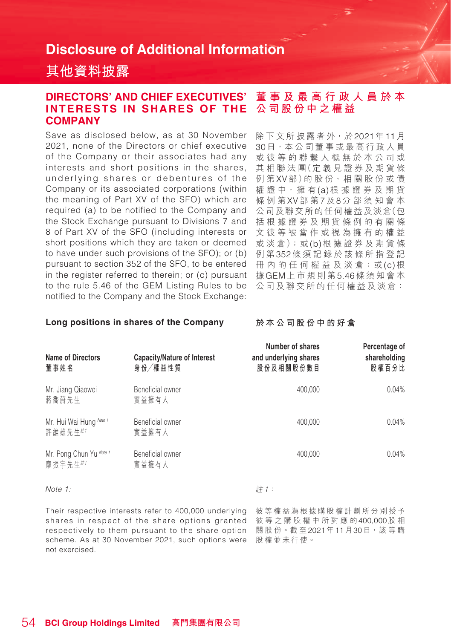## **其他資料披露**

#### **DIRECTORS' AND CHIEF EXECUTIVES' INTERESTS IN SHARES OF THE COMPANY 董事及最高行政人員於本 公司股份中之權益**

Save as disclosed below, as at 30 November 2021, none of the Directors or chief executive of the Company or their associates had any interests and short positions in the shares, underlying shares or debentures of the Company or its associated corporations (within the meaning of Part XV of the SFO) which are required (a) to be notified to the Company and the Stock Exchange pursuant to Divisions 7 and 8 of Part XV of the SFO (including interests or short positions which they are taken or deemed to have under such provisions of the SFO); or (b) pursuant to section 352 of the SFO, to be entered in the register referred to therein; or (c) pursuant to the rule 5.46 of the GEM Listing Rules to be notified to the Company and the Stock Exchange:

除下文所披露者外,於2021年11月 30日,本公司董事或最高行政人員 或彼等的聯繫人概無於本公司或 其 相 聯 法 團(定 義 見 證 券 及 期 貨 條 例 第XV部)的 股 份、相 關 股 份 或 債 權 證 中,擁 有(a)根據證券及期貨 條例第XV部 第7及8分部須知會本 公司及聯交所的任何權益及淡倉(包 括根據證券及期貨條例的有關條 文彼等被當作或視為擁有的權益 或 淡 倉);或(b)根 據 證 券 及 期 貨 條 例 第352條須記錄於該條所指登記 冊 內 的 任 何 權 益 及 淡 倉;或(c)根 據GEM上市規則第5.46條須知會本 公司及聯交所的任何權益及淡倉:

#### **Long positions in shares of the Company**

**於本公司股份中的好倉**

| Name of Directors<br>董事姓名          | Capacity/Nature of Interest<br>身份/權益性質 | Number of shares<br>and underlying shares<br>股份及相關股份數目 | Percentage of<br>shareholding<br>股權百分比 |
|------------------------------------|----------------------------------------|--------------------------------------------------------|----------------------------------------|
| Mr. Jiang Qiaowei<br>蔣喬蔚先生         | Beneficial owner<br>實益擁有人              | 400.000                                                | 0.04%                                  |
| Mr. Hui Wai Hung Note 1<br>許維雄先生#1 | Beneficial owner<br>實益擁有人              | 400.000                                                | 0.04%                                  |
| Mr. Pong Chun Yu Note 1<br>龐振宇先生#1 | Beneficial owner<br>實益擁有人              | 400.000                                                | 0.04%                                  |

計1:

Note 1:

Their respective interests refer to 400,000 underlying shares in respect of the share options granted respectively to them pursuant to the share option scheme. As at 30 November 2021, such options were not exercised.

彼等權益為根據購股權計劃所分別授予 彼等之購股權中所對應的400,000股 相 關 股 份。截 至2021年11月30日,該等購 股權並未行使。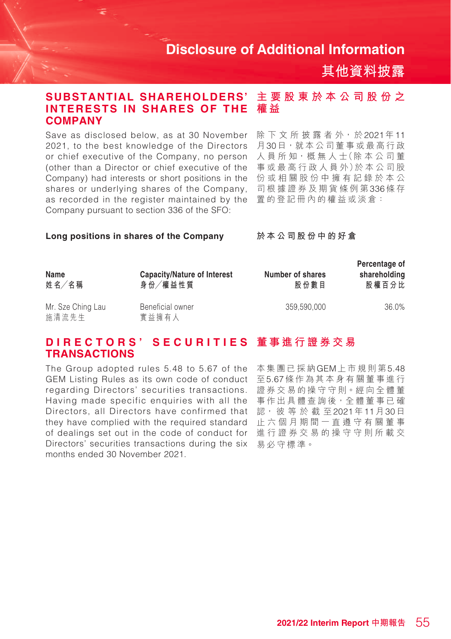**其他資料披露**

#### **主要股東於本公司股份之 權 益 SUBSTANTIAL SHAREHOLDERS' INTERESTS IN SHARES OF THE COMPANY**

Save as disclosed below, as at 30 November 2021, to the best knowledge of the Directors or chief executive of the Company, no person (other than a Director or chief executive of the Company) had interests or short positions in the shares or underlying shares of the Company, as recorded in the register maintained by the Company pursuant to section 336 of the SFO:

除下文所披露者外,於2021年11 月30日,就本公司董事或最高行政 人員所知,概無人士(除本公司董 事 或 最 高 行 政 人 員 外)於 本 公 司 股 份或相關股份中擁有記錄於本公 司根據證券及期貨條例第336條 存 置的登記冊內的權益或淡倉:

#### **Long positions in shares of the Company**

**於本公司股份中的好倉**

| Name<br>姓名/名稱              | Capacity/Nature of Interest<br>身份/權益性質 | Number of shares<br>股份數目 | Percentage of<br>shareholding<br>股權百分比 |
|----------------------------|----------------------------------------|--------------------------|----------------------------------------|
| Mr. Sze Ching Lau<br>施清流先生 | Beneficial owner<br>實益擁有人              | 359.590.000              | 36.0%                                  |

#### **D I R E C T O R S ' S E C U R I T I E S 董事進行證券交易 TRANSACTIONS**

The Group adopted rules 5.48 to 5.67 of the GEM Listing Rules as its own code of conduct regarding Directors' securities transactions. Having made specific enquiries with all the Directors, all Directors have confirmed that they have complied with the required standard of dealings set out in the code of conduct for 進行證券交易的操守守則所載交 Directors' securities transactions during the six months ended 30 November 2021.

本集團已採納GEM上市規則第5.48 至5.67條作為其本身有關董事進行 證券交易的操守守則。經向全體董 事作出具體查詢後,全體董事已確 認, 彼 等 於 截 至2021年11月30日 止六個月期間一直遵守有關董事 易必守標準。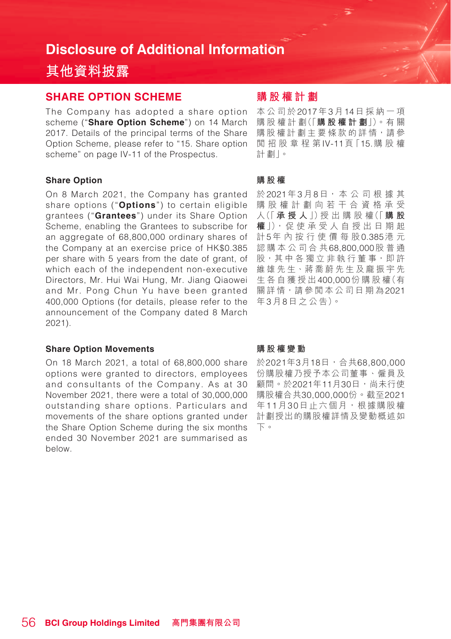# **其他資料披露**

#### **SHARE OPTION SCHEME**

The Company has adopted a share option scheme ("**Share Option Scheme**") on 14 March 2017. Details of the principal terms of the Share Option Scheme, please refer to "15. Share option scheme" on page IV-11 of the Prospectus.

#### **Share Option**

On 8 March 2021, the Company has granted share options ("**Options**") to certain eligible grantees ("**Grantees**") under its Share Option Scheme, enabling the Grantees to subscribe for an aggregate of 68,800,000 ordinary shares of the Company at an exercise price of HK\$0.385 per share with 5 years from the date of grant, of which each of the independent non-executive Directors, Mr. Hui Wai Hung, Mr. Jiang Qiaowei and Mr. Pong Chun Yu have been granted 400,000 Options (for details, please refer to the announcement of the Company dated 8 March 2021).

#### **Share Option Movements**

On 18 March 2021, a total of 68,800,000 share options were granted to directors, employees and consultants of the Company. As at 30 November 2021, there were a total of 30,000,000 outstanding share options. Particulars and movements of the share options granted under the Share Option Scheme during the six months ended 30 November 2021 are summarised as below.

## **購股權計劃**

本公司於2017年3月14日採納一項 購 股 權 計 劃(「**購股權計劃**」)。有 關 購股權計劃主要條款的詳情,請參 閱招股章程第IV-11頁「15.購股權 計 劃」。

#### **購股權**

於2021年3月8日, 本 公 司 根 據 其 購股權計劃向若干合資格承受 人(「 **承授人** 」)授 出 購 股 權(「 **購 股 權**」),促 使 承 受 人 自 授 出 日 期 起 計5年內按行使價每股0.385港 元 認購本公司合共68,800,000股普通 股,其中各獨立非執行董事,即許 維雄先生、蔣喬蔚先生及龐振宇先 生各自獲授出400,000份 購 股 權(有 關 詳情,請參閱本公司日期為2021 年3月8日之公告)。

#### **購股權變動**

於2021年3月18日,合共68,800,000 份購股權乃授予本公司董事、僱員及 顧問。於2021年11月30日,尚未行使 購股權合共30,000,000份。截至2021 年11月30日止六個月,根據購股權 計劃授出的購股權詳情及變動概述如 下。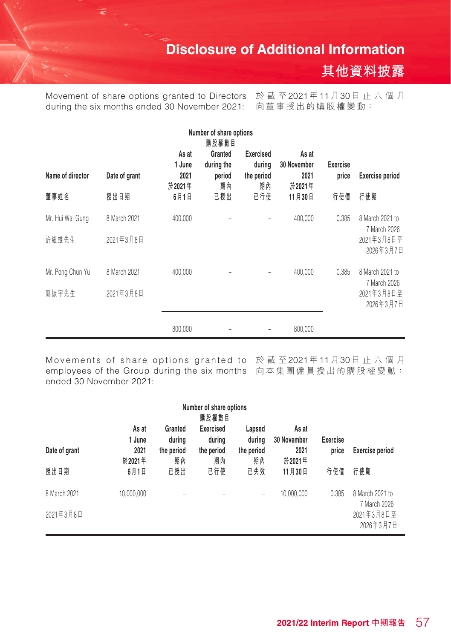

Movement of share options granted to Directors 於 截 至2021年11月30日 止 六 個 月 during the six months ended 30 November 2021: 向董事授出的購股權變動:

| Number of share options<br>購股權數目 |                           |                                   |                                       |                                                |                                        |                          |                                                            |
|----------------------------------|---------------------------|-----------------------------------|---------------------------------------|------------------------------------------------|----------------------------------------|--------------------------|------------------------------------------------------------|
| Name of director                 | Date of grant             | As at<br>1 June<br>2021<br>於2021年 | Granted<br>during the<br>period<br>期內 | <b>Exercised</b><br>during<br>the period<br>期內 | As at<br>30 November<br>2021<br>於2021年 | <b>Exercise</b><br>price | <b>Exercise period</b>                                     |
| 董事姓名                             | 授出日期                      | 6月1日                              | 已授出                                   | 已行使                                            | 11月30日                                 | 行使價                      | 行使期                                                        |
| Mr. Hui Wai Gung<br>許維雄先生        | 8 March 2021<br>2021年3月8日 | 400,000                           |                                       |                                                | 400,000                                | 0.385                    | 8 March 2021 to<br>7 March 2026<br>2021年3月8日至<br>2026年3月7日 |
| Mr. Pong Chun Yu<br>龐振宇先生        | 8 March 2021<br>2021年3月8日 | 400,000                           |                                       |                                                | 400,000                                | 0.385                    | 8 March 2021 to<br>7 March 2026<br>2021年3月8日至<br>2026年3月7日 |
|                                  |                           | 800,000                           |                                       |                                                | 800,000                                |                          |                                                            |

Movements of share options granted to 於截至2021年11月30日止六個月 employees of the Group during the six months 向本集團僱員授出的購股權變動:ended 30 November 2021:

| Number of share options<br>購股權數目 |                                   |                                       |                                                |                                      |                                        |                          |                                                            |  |  |  |
|----------------------------------|-----------------------------------|---------------------------------------|------------------------------------------------|--------------------------------------|----------------------------------------|--------------------------|------------------------------------------------------------|--|--|--|
| Date of grant                    | As at<br>1 June<br>2021<br>於2021年 | Granted<br>during<br>the period<br>期內 | <b>Exercised</b><br>during<br>the period<br>期內 | Lapsed<br>during<br>the period<br>期內 | As at<br>30 November<br>2021<br>於2021年 | <b>Exercise</b><br>price | Exercise period                                            |  |  |  |
| 授出日期                             | 6月1日                              | 已授出                                   | 已行使                                            | 已失效                                  | 11月30日                                 | 行使價                      | 行使期                                                        |  |  |  |
| 8 March 2021<br>2021年3月8日        | 10,000,000                        |                                       |                                                | -                                    | 10.000.000                             | 0.385                    | 8 March 2021 to<br>7 March 2026<br>2021年3月8日至<br>2026年3月7日 |  |  |  |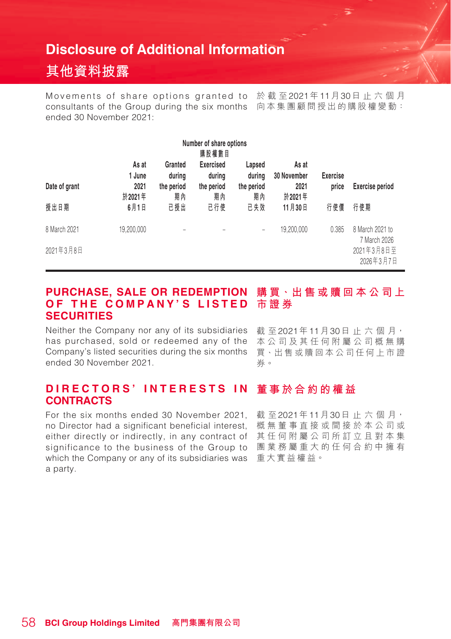# **其他資料披露**

Movements of share options granted to 於截至2021年11月30日止六個月 consultants of the Group during the six months 向本集團顧問授出的購股權變動: ended 30 November 2021:

| Number of share options<br>購股權數目 |                                   |                                       |                                                |                                      |                                        |                          |                                                            |  |  |  |
|----------------------------------|-----------------------------------|---------------------------------------|------------------------------------------------|--------------------------------------|----------------------------------------|--------------------------|------------------------------------------------------------|--|--|--|
| Date of grant                    | As at<br>1 June<br>2021<br>於2021年 | Granted<br>during<br>the period<br>期內 | <b>Exercised</b><br>during<br>the period<br>期內 | Lapsed<br>during<br>the period<br>期內 | As at<br>30 November<br>2021<br>於2021年 | <b>Exercise</b><br>price | <b>Exercise period</b>                                     |  |  |  |
| 授出日期                             | 6月1日                              | 已授出                                   | 已行使                                            | 已失效                                  | 11月30日                                 | 行使價                      | 行使期                                                        |  |  |  |
| 8 March 2021<br>2021年3月8日        | 19,200,000                        |                                       |                                                | -                                    | 19,200,000                             | 0.385                    | 8 March 2021 to<br>7 March 2026<br>2021年3月8日至<br>2026年3月7日 |  |  |  |

#### **PURCHASE, SALE OR REDEMPTION O F T H E C O M P A N Y ' S L I S T E D 市證券 SECURITIES 購買、出售或贖回本公司上**

Neither the Company nor any of its subsidiaries has purchased, sold or redeemed any of the Company's listed securities during the six months ended 30 November 2021.

截至2021年11月30日止六個月, 本公司及其任何附屬公司概無購 買、出售或贖回本公司任何上市證 券。

#### **DIRECTORS' INTERESTS IN CONTRACTS 董事於合約的權益**

For the six months ended 30 November 2021, no Director had a significant beneficial interest, either directly or indirectly, in any contract of 其任何附屬公司所訂立且對本集 significance to the business of the Group to which the Company or any of its subsidiaries was 重大實益權益。a party.

截 至2021年11月30日 止 六 個 月, 概無董事直接或間接於本公司或 團業務屬重大的任何合約中擁有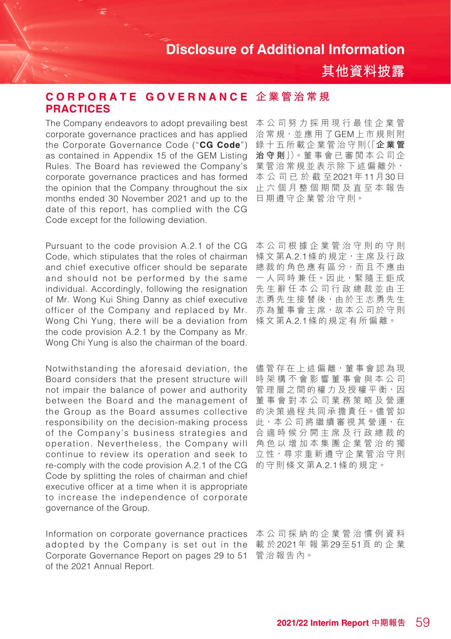本公司努力採用現行最佳企業管

**其他資料披露**

#### **治守則**」)。董 事 會 已 審 閱 本 公 司 企 業管治常規並表示除下述偏離外, 本公司已於截至2021年11月30日 止六個月整個期間及直至本報告 日期遵守企業管治守則。 corporate governance practices and has applied the Corporate Governance Code ("**CG Code**") as contained in Appendix 15 of the GEM Listing Rules. The Board has reviewed the Company's corporate governance practices and has formed the opinion that the Company throughout the six months ended 30 November 2021 and up to the date of this report, has complied with the CG Code except for the following deviation.

**PRACTICES**

 $\texttt{CORPORTE}$  GOVERNANCE 企業管治常規

Wong Chi Yung, there will be a deviation from 《《文第A.2.1條的規定有所偏離。 Pursuant to the code provision A.2.1 of the CG Code, which stipulates that the roles of chairman and chief executive officer should be separate and should not be performed by the same individual. Accordingly, following the resignation of Mr. Wong Kui Shing Danny as chief executive officer of the Company and replaced by Mr. the code provision A.2.1 by the Company as Mr. Wong Chi Yung is also the chairman of the board.

Notwithstanding the aforesaid deviation, the Board considers that the present structure will not impair the balance of power and authority between the Board and the management of the Group as the Board assumes collective responsibility on the decision-making process of the Company's business strategies and operation. Nevertheless, the Company will continue to review its operation and seek to re-comply with the code provision A.2.1 of the CG Code by splitting the roles of chairman and chief executive officer at a time when it is appropriate to increase the independence of corporate governance of the Group.

Information on corporate governance practices 本公司採納的企業管治慣例資料 adopted by the Company is set out in the 載於2021年報第29至51頁的企業 Corporate Governance Report on pages 29 to 51 管治報告內。 of the 2021 Annual Report.

本公司 根據企業管治守則的守則 條文第A.2.1條的規定,主席及行政 總裁的角色應有區分,而且不應由 一 人 同 時 兼 任。因 此,緊 隨 王 鉅 成 先生辭任本公司行政總裁並由王 志勇先生接替後,由於王志勇先生 亦為董事會主席,故本公司於守則

儘管存在上述偏離,董事會認為現 時架構不會影響董事會與本公司 管理層之間的權力及授權平衡,因 董事會對本公司業務策略及營運 的決策過程共同承擔責任。儘管如 此,本 公 司 將 繼 續 審 視 其 營 運,在 合適時候分開主席及行政總裁的 角色以增加本集團企業管治的獨 立性,尋求重新遵守企業管治守則 的守則條文第A.2.1條的規定。